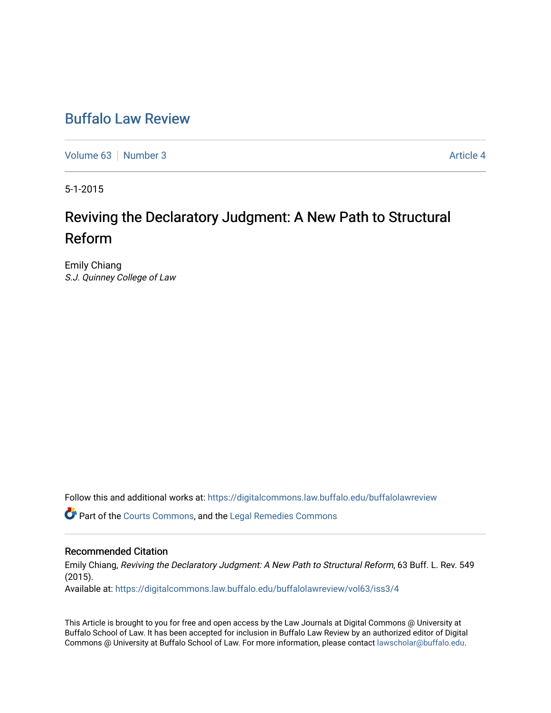## [Buffalo Law Review](https://digitalcommons.law.buffalo.edu/buffalolawreview)

[Volume 63](https://digitalcommons.law.buffalo.edu/buffalolawreview/vol63) [Number 3](https://digitalcommons.law.buffalo.edu/buffalolawreview/vol63/iss3) Article 4

5-1-2015

# Reviving the Declaratory Judgment: A New Path to Structural Reform

Emily Chiang S.J. Quinney College of Law

Follow this and additional works at: [https://digitalcommons.law.buffalo.edu/buffalolawreview](https://digitalcommons.law.buffalo.edu/buffalolawreview?utm_source=digitalcommons.law.buffalo.edu%2Fbuffalolawreview%2Fvol63%2Fiss3%2F4&utm_medium=PDF&utm_campaign=PDFCoverPages) 

Part of the [Courts Commons,](http://network.bepress.com/hgg/discipline/839?utm_source=digitalcommons.law.buffalo.edu%2Fbuffalolawreview%2Fvol63%2Fiss3%2F4&utm_medium=PDF&utm_campaign=PDFCoverPages) and the [Legal Remedies Commons](http://network.bepress.com/hgg/discipline/618?utm_source=digitalcommons.law.buffalo.edu%2Fbuffalolawreview%2Fvol63%2Fiss3%2F4&utm_medium=PDF&utm_campaign=PDFCoverPages) 

#### Recommended Citation

Emily Chiang, Reviving the Declaratory Judgment: A New Path to Structural Reform, 63 Buff. L. Rev. 549 (2015).

Available at: [https://digitalcommons.law.buffalo.edu/buffalolawreview/vol63/iss3/4](https://digitalcommons.law.buffalo.edu/buffalolawreview/vol63/iss3/4?utm_source=digitalcommons.law.buffalo.edu%2Fbuffalolawreview%2Fvol63%2Fiss3%2F4&utm_medium=PDF&utm_campaign=PDFCoverPages) 

This Article is brought to you for free and open access by the Law Journals at Digital Commons @ University at Buffalo School of Law. It has been accepted for inclusion in Buffalo Law Review by an authorized editor of Digital Commons @ University at Buffalo School of Law. For more information, please contact [lawscholar@buffalo.edu](mailto:lawscholar@buffalo.edu).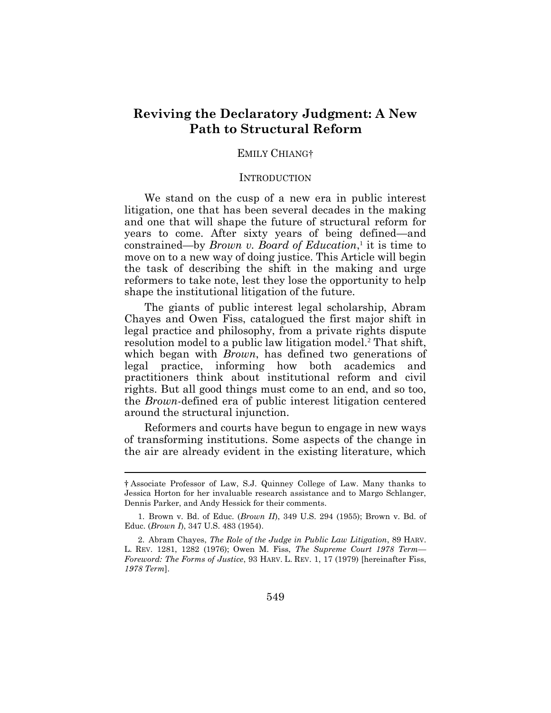## **Reviving the Declaratory Judgment: A New Path to Structural Reform**

#### EMILY CHIANG†

#### <span id="page-1-0"></span>**INTRODUCTION**

We stand on the cusp of a new era in public interest litigation, one that has been several decades in the making and one that will shape the future of structural reform for years to come. After sixty years of being defined—and constrained—by *Brown v. Board of Education*,<sup>1</sup> it is time to move on to a new way of doing justice. This Article will begin the task of describing the shift in the making and urge reformers to take note, lest they lose the opportunity to help shape the institutional litigation of the future.

The giants of public interest legal scholarship, Abram Chayes and Owen Fiss, catalogued the first major shift in legal practice and philosophy, from a private rights dispute resolution model to a public law litigation model.<sup>2</sup> That shift, which began with *Brown*, has defined two generations of legal practice, informing how both academics and practitioners think about institutional reform and civil rights. But all good things must come to an end, and so too, the *Brown*-defined era of public interest litigation centered around the structural injunction.

Reformers and courts have begun to engage in new ways of transforming institutions. Some aspects of the change in the air are already evident in the existing literature, which

 $\overline{a}$ 

<sup>†</sup> Associate Professor of Law, S.J. Quinney College of Law. Many thanks to Jessica Horton for her invaluable research assistance and to Margo Schlanger, Dennis Parker, and Andy Hessick for their comments.

<sup>1.</sup> Brown v. Bd. of Educ. (*Brown II*), 349 U.S. 294 (1955); Brown v. Bd. of Educ. (*Brown I*), 347 U.S. 483 (1954).

<sup>2.</sup> Abram Chayes, *The Role of the Judge in Public Law Litigation*, 89 HARV. L. REV. 1281, 1282 (1976); Owen M. Fiss, *The Supreme Court 1978 Term— Foreword: The Forms of Justice*, 93 HARV. L. REV. 1, 17 (1979) [hereinafter Fiss, *1978 Term*].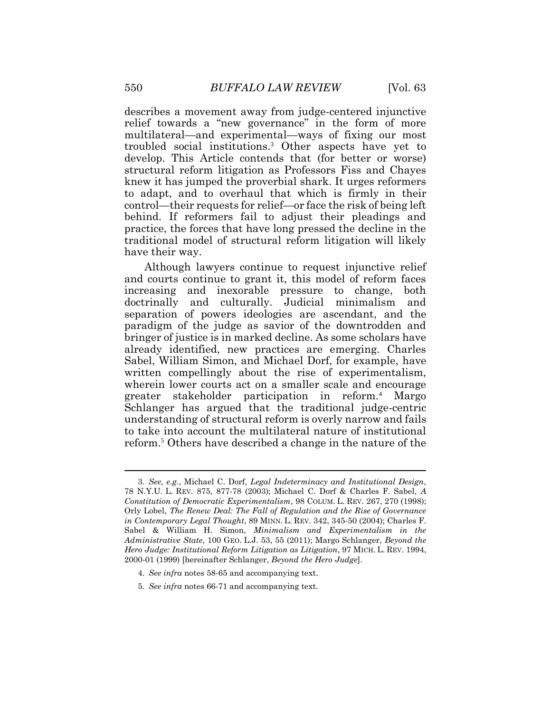<span id="page-2-0"></span>describes a movement away from judge-centered injunctive relief towards a "new governance" in the form of more multilateral—and experimental—ways of fixing our most troubled social institutions. <sup>3</sup> Other aspects have yet to develop. This Article contends that (for better or worse) structural reform litigation as Professors Fiss and Chayes knew it has jumped the proverbial shark. It urges reformers to adapt, and to overhaul that which is firmly in their control—their requests for relief—or face the risk of being left behind. If reformers fail to adjust their pleadings and practice, the forces that have long pressed the decline in the traditional model of structural reform litigation will likely have their way.

Although lawyers continue to request injunctive relief and courts continue to grant it, this model of reform faces increasing and inexorable pressure to change, both doctrinally and culturally. Judicial minimalism and separation of powers ideologies are ascendant, and the paradigm of the judge as savior of the downtrodden and bringer of justice is in marked decline. As some scholars have already identified, new practices are emerging. Charles Sabel, William Simon, and Michael Dorf, for example, have written compellingly about the rise of experimentalism, wherein lower courts act on a smaller scale and encourage greater stakeholder participation in reform.<sup>4</sup> Margo Schlanger has argued that the traditional judge-centric understanding of structural reform is overly narrow and fails to take into account the multilateral nature of institutional reform.<sup>5</sup> Others have described a change in the nature of the

5. *See infra* notes 66-71 and accompanying text.

<sup>3.</sup> *See, e.g.*, Michael C. Dorf, *Legal Indeterminacy and Institutional Design*, 78 N.Y.U. L. REV. 875, 877-78 (2003); Michael C. Dorf & Charles F. Sabel, *A Constitution of Democratic Experimentalism*, 98 COLUM. L. REV. 267, 270 (1998); Orly Lobel, *The Renew Deal: The Fall of Regulation and the Rise of Governance in Contemporary Legal Thought*, 89 MINN. L. REV. 342, 345-50 (2004); Charles F. Sabel & William H. Simon, *Minimalism and Experimentalism in the Administrative State*, 100 GEO. L.J. 53, 55 (2011); Margo Schlanger, *Beyond the Hero Judge: Institutional Reform Litigation as Litigation*, 97 MICH. L. REV. 1994, 2000-01 (1999) [hereinafter Schlanger, *Beyond the Hero Judge*].

<sup>4.</sup> *See infra* notes 58-65 and accompanying text.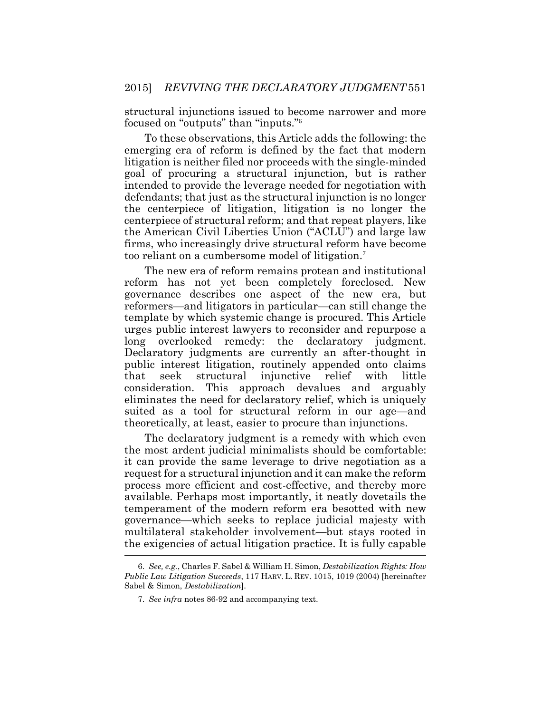<span id="page-3-0"></span>structural injunctions issued to become narrower and more focused on "outputs" than "inputs."<sup>6</sup>

To these observations, this Article adds the following: the emerging era of reform is defined by the fact that modern litigation is neither filed nor proceeds with the single-minded goal of procuring a structural injunction, but is rather intended to provide the leverage needed for negotiation with defendants; that just as the structural injunction is no longer the centerpiece of litigation, litigation is no longer the centerpiece of structural reform; and that repeat players, like the American Civil Liberties Union ("ACLU") and large law firms, who increasingly drive structural reform have become too reliant on a cumbersome model of litigation.<sup>7</sup>

The new era of reform remains protean and institutional reform has not yet been completely foreclosed. New governance describes one aspect of the new era, but reformers—and litigators in particular—can still change the template by which systemic change is procured. This Article urges public interest lawyers to reconsider and repurpose a long overlooked remedy: the declaratory judgment. Declaratory judgments are currently an after-thought in public interest litigation, routinely appended onto claims that seek structural injunctive relief with little consideration. This approach devalues and arguably eliminates the need for declaratory relief, which is uniquely suited as a tool for structural reform in our age—and theoretically, at least, easier to procure than injunctions.

The declaratory judgment is a remedy with which even the most ardent judicial minimalists should be comfortable: it can provide the same leverage to drive negotiation as a request for a structural injunction and it can make the reform process more efficient and cost-effective, and thereby more available. Perhaps most importantly, it neatly dovetails the temperament of the modern reform era besotted with new governance—which seeks to replace judicial majesty with multilateral stakeholder involvement—but stays rooted in the exigencies of actual litigation practice. It is fully capable

<sup>6.</sup> *See, e.g.*, Charles F. Sabel & William H. Simon, *Destabilization Rights: How Public Law Litigation Succeeds*, 117 HARV. L. REV. 1015, 1019 (2004) [hereinafter Sabel & Simon, *Destabilization*].

<sup>7.</sup> *See infra* notes 86-92 and accompanying text.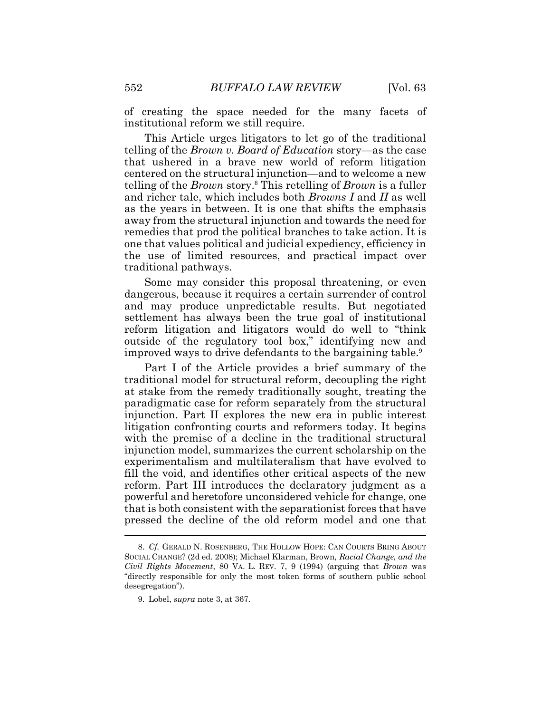of creating the space needed for the many facets of institutional reform we still require.

This Article urges litigators to let go of the traditional telling of the *Brown v. Board of Education* story—as the case that ushered in a brave new world of reform litigation centered on the structural injunction—and to welcome a new telling of the *Brown* story.<sup>8</sup> This retelling of *Brown* is a fuller and richer tale, which includes both *Browns I* and *II* as well as the years in between. It is one that shifts the emphasis away from the structural injunction and towards the need for remedies that prod the political branches to take action. It is one that values political and judicial expediency, efficiency in the use of limited resources, and practical impact over traditional pathways.

Some may consider this proposal threatening, or even dangerous, because it requires a certain surrender of control and may produce unpredictable results. But negotiated settlement has always been the true goal of institutional reform litigation and litigators would do well to "think outside of the regulatory tool box," identifying new and improved ways to drive defendants to the bargaining table.<sup>9</sup>

Part I of the Article provides a brief summary of the traditional model for structural reform, decoupling the right at stake from the remedy traditionally sought, treating the paradigmatic case for reform separately from the structural injunction. Part II explores the new era in public interest litigation confronting courts and reformers today. It begins with the premise of a decline in the traditional structural injunction model, summarizes the current scholarship on the experimentalism and multilateralism that have evolved to fill the void, and identifies other critical aspects of the new reform. Part III introduces the declaratory judgment as a powerful and heretofore unconsidered vehicle for change, one that is both consistent with the separationist forces that have pressed the decline of the old reform model and one that

<sup>8.</sup> *Cf.* GERALD N. ROSENBERG, THE HOLLOW HOPE: CAN COURTS BRING ABOUT SOCIAL CHANGE? (2d ed. 2008); Michael Klarman, Brown*, Racial Change, and the Civil Rights Movement*, 80 VA. L. REV. 7, 9 (1994) (arguing that *Brown* was "directly responsible for only the most token forms of southern public school desegregation").

<sup>9.</sup> Lobel, *supra* note 3, at 367.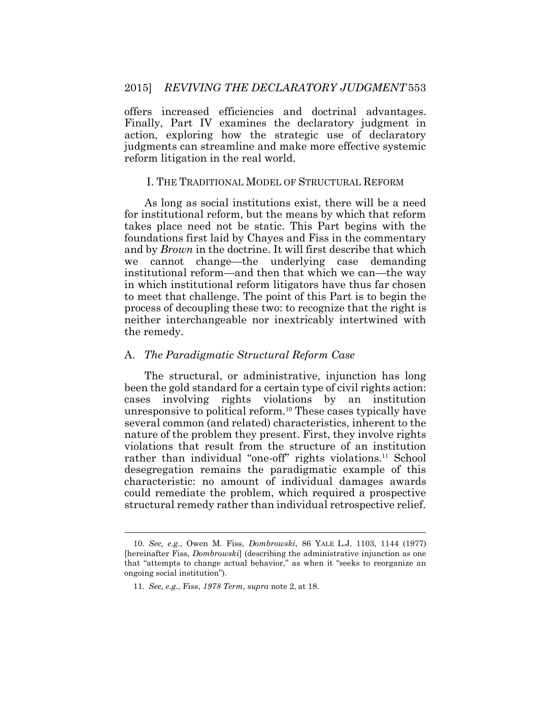offers increased efficiencies and doctrinal advantages. Finally, Part IV examines the declaratory judgment in action, exploring how the strategic use of declaratory judgments can streamline and make more effective systemic reform litigation in the real world.

#### I. THE TRADITIONAL MODEL OF STRUCTURAL REFORM

As long as social institutions exist, there will be a need for institutional reform, but the means by which that reform takes place need not be static. This Part begins with the foundations first laid by Chayes and Fiss in the commentary and by *Brown* in the doctrine. It will first describe that which we cannot change—the underlying case demanding institutional reform—and then that which we can—the way in which institutional reform litigators have thus far chosen to meet that challenge. The point of this Part is to begin the process of decoupling these two: to recognize that the right is neither interchangeable nor inextricably intertwined with the remedy.

#### A. *The Paradigmatic Structural Reform Case*

The structural, or administrative, injunction has long been the gold standard for a certain type of civil rights action: cases involving rights violations by an institution unresponsive to political reform.<sup>10</sup> These cases typically have several common (and related) characteristics, inherent to the nature of the problem they present. First, they involve rights violations that result from the structure of an institution rather than individual "one-off" rights violations.<sup>11</sup> School desegregation remains the paradigmatic example of this characteristic: no amount of individual damages awards could remediate the problem, which required a prospective structural remedy rather than individual retrospective relief.

 $\overline{a}$ 

<sup>10.</sup> *See, e.g*., Owen M. Fiss, *Dombrowski*, 86 YALE L.J. 1103, 1144 (1977) [hereinafter Fiss, *Dombrowski*] (describing the administrative injunction as one that "attempts to change actual behavior," as when it "seeks to reorganize an ongoing social institution").

<sup>11.</sup> *See, e.g.*, Fiss, *1978 Term*, *supra* note [2,](#page-1-0) at 18.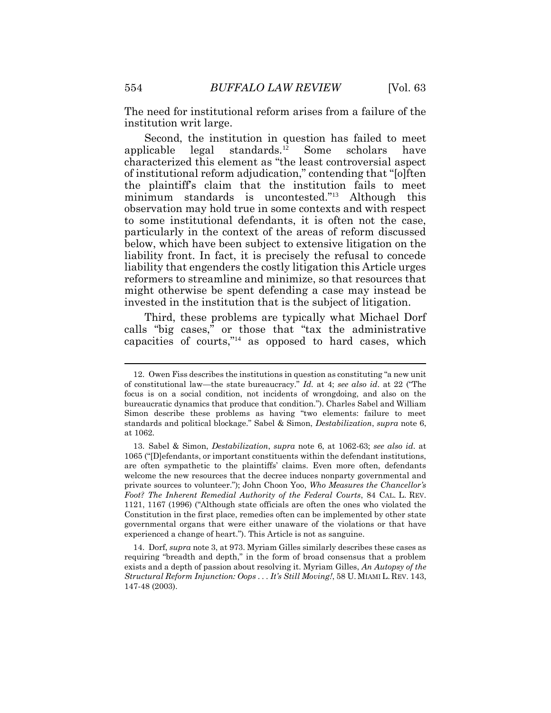The need for institutional reform arises from a failure of the institution writ large.

Second, the institution in question has failed to meet applicable legal standards.<sup>12</sup> Some scholars have characterized this element as "the least controversial aspect of institutional reform adjudication," contending that "[o]ften the plaintiff's claim that the institution fails to meet minimum standards is uncontested."<sup>13</sup> Although this observation may hold true in some contexts and with respect to some institutional defendants, it is often not the case, particularly in the context of the areas of reform discussed below, which have been subject to extensive litigation on the liability front. In fact, it is precisely the refusal to concede liability that engenders the costly litigation this Article urges reformers to streamline and minimize, so that resources that might otherwise be spent defending a case may instead be invested in the institution that is the subject of litigation.

Third, these problems are typically what Michael Dorf calls "big cases," or those that "tax the administrative capacities of courts,"<sup>14</sup> as opposed to hard cases, which

<sup>12.</sup> Owen Fiss describes the institutions in question as constituting "a new unit of constitutional law—the state bureaucracy." *Id.* at 4; *see also id*. at 22 ("The focus is on a social condition, not incidents of wrongdoing, and also on the bureaucratic dynamics that produce that condition."). Charles Sabel and William Simon describe these problems as having "two elements: failure to meet standards and political blockage." Sabel & Simon, *Destabilization*, *supra* note [6,](#page-3-0)  at 1062.

<sup>13.</sup> Sabel & Simon, *Destabilization*, *supra* note [6,](#page-3-0) at 1062-63; *see also id*. at 1065 ("[D]efendants, or important constituents within the defendant institutions, are often sympathetic to the plaintiffs' claims. Even more often, defendants welcome the new resources that the decree induces nonparty governmental and private sources to volunteer."); John Choon Yoo, *Who Measures the Chancellor's Foot? The Inherent Remedial Authority of the Federal Courts*, 84 CAL. L. REV. 1121, 1167 (1996) ("Although state officials are often the ones who violated the Constitution in the first place, remedies often can be implemented by other state governmental organs that were either unaware of the violations or that have experienced a change of heart."). This Article is not as sanguine.

<sup>14.</sup> Dorf, *supra* not[e 3,](#page-2-0) at 973. Myriam Gilles similarly describes these cases as requiring "breadth and depth," in the form of broad consensus that a problem exists and a depth of passion about resolving it. Myriam Gilles, *An Autopsy of the Structural Reform Injunction: Oops . . . It's Still Moving!*, 58 U. MIAMI L. REV. 143, 147-48 (2003).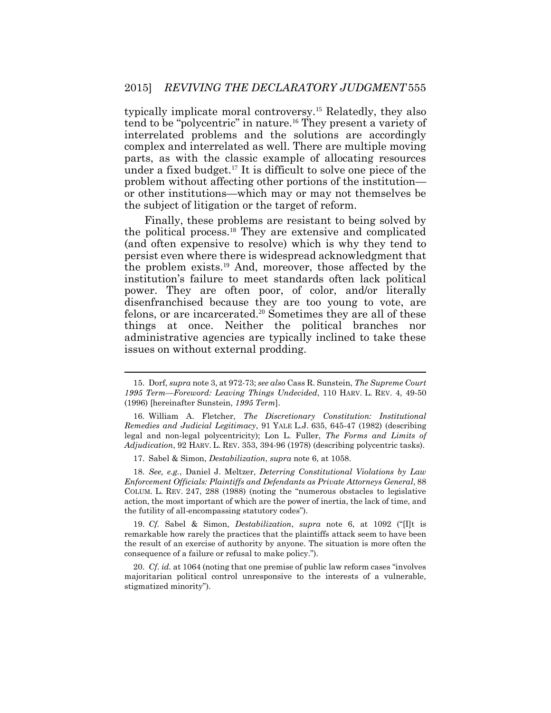typically implicate moral controversy.<sup>15</sup> Relatedly, they also tend to be "polycentric" in nature.<sup>16</sup> They present a variety of interrelated problems and the solutions are accordingly complex and interrelated as well. There are multiple moving parts, as with the classic example of allocating resources under a fixed budget.<sup>17</sup> It is difficult to solve one piece of the problem without affecting other portions of the institution or other institutions—which may or may not themselves be the subject of litigation or the target of reform.

Finally, these problems are resistant to being solved by the political process.<sup>18</sup> They are extensive and complicated (and often expensive to resolve) which is why they tend to persist even where there is widespread acknowledgment that the problem exists.<sup>19</sup> And, moreover, those affected by the institution's failure to meet standards often lack political power. They are often poor, of color, and/or literally disenfranchised because they are too young to vote, are felons, or are incarcerated.<sup>20</sup> Sometimes they are all of these things at once. Neither the political branches nor administrative agencies are typically inclined to take these issues on without external prodding.

17. Sabel & Simon, *Destabilization*, *supra* not[e 6,](#page-3-0) at 1058.

18. *See, e.g.*, Daniel J. Meltzer, *Deterring Constitutional Violations by Law Enforcement Officials: Plaintiffs and Defendants as Private Attorneys General*, 88 COLUM. L. REV. 247, 288 (1988) (noting the "numerous obstacles to legislative action, the most important of which are the power of inertia, the lack of time, and the futility of all-encompassing statutory codes").

19. *Cf.* Sabel & Simon, *Destabilization*, *supra* note [6](#page-3-0), at 1092 ("[I]t is remarkable how rarely the practices that the plaintiffs attack seem to have been the result of an exercise of authority by anyone. The situation is more often the consequence of a failure or refusal to make policy.").

20. *Cf*. *id.* at 1064 (noting that one premise of public law reform cases "involves majoritarian political control unresponsive to the interests of a vulnerable, stigmatized minority").

<sup>15.</sup> Dorf, *supra* not[e 3,](#page-2-0) at 972-73; *see also* Cass R. Sunstein, *The Supreme Court 1995 Term—Foreword: Leaving Things Undecided*, 110 HARV. L. REV. 4, 49-50 (1996) [hereinafter Sunstein, *1995 Term*].

<sup>16.</sup> William A. Fletcher, *The Discretionary Constitution: Institutional Remedies and Judicial Legitimacy*, 91 YALE L.J. 635, 645-47 (1982) (describing legal and non-legal polycentricity); Lon L. Fuller, *The Forms and Limits of Adjudication*, 92 HARV. L. REV. 353, 394-96 (1978) (describing polycentric tasks).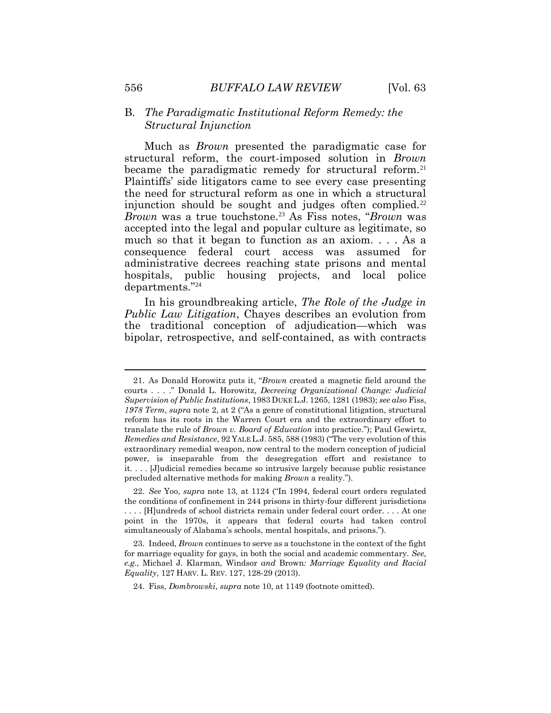#### B. *The Paradigmatic Institutional Reform Remedy: the Structural Injunction*

<span id="page-8-0"></span>Much as *Brown* presented the paradigmatic case for structural reform, the court-imposed solution in *Brown*  became the paradigmatic remedy for structural reform.<sup>21</sup> Plaintiffs' side litigators came to see every case presenting the need for structural reform as one in which a structural injunction should be sought and judges often complied.<sup>22</sup> *Brown* was a true touchstone.<sup>23</sup> As Fiss notes, "*Brown* was accepted into the legal and popular culture as legitimate, so much so that it began to function as an axiom. . . . As a consequence federal court access was assumed for administrative decrees reaching state prisons and mental hospitals, public housing projects, and local police departments."<sup>24</sup>

In his groundbreaking article, *The Role of the Judge in Public Law Litigation*, Chayes describes an evolution from the traditional conception of adjudication—which was bipolar, retrospective, and self-contained, as with contracts

 $\overline{a}$ 

<sup>21.</sup> As Donald Horowitz puts it, "*Brown* created a magnetic field around the courts . . . ." Donald L. Horowitz, *Decreeing Organizational Change: Judicial Supervision of Public Institutions*, 1983 DUKE L.J. 1265, 1281 (1983); *see also* Fiss, *1978 Term*, *supra* note [2](#page-1-0), at 2 ("As a genre of constitutional litigation, structural reform has its roots in the Warren Court era and the extraordinary effort to translate the rule of *Brown v. Board of Education* into practice."); Paul Gewirtz, *Remedies and Resistance*, 92 YALE L.J. 585, 588 (1983) ("The very evolution of this extraordinary remedial weapon, now central to the modern conception of judicial power, is inseparable from the desegregation effort and resistance to it. . . . [J]udicial remedies became so intrusive largely because public resistance precluded alternative methods for making *Brown* a reality.").

<sup>22.</sup> *See* Yoo, *supra* note 13, at 1124 ("In 1994, federal court orders regulated the conditions of confinement in 244 prisons in thirty-four different jurisdictions . . . . [H]undreds of school districts remain under federal court order. . . . At one point in the 1970s, it appears that federal courts had taken control simultaneously of Alabama's schools, mental hospitals, and prisons.").

<sup>23.</sup> Indeed, *Brown* continues to serve as a touchstone in the context of the fight for marriage equality for gays, in both the social and academic commentary. *See, e.g*., Michael J. Klarman, Windsor *and* Brown*: Marriage Equality and Racial Equality*, 127 HARV. L. REV. 127, 128-29 (2013).

<sup>24.</sup> Fiss, *Dombrowski*, *supra* note 10, at 1149 (footnote omitted).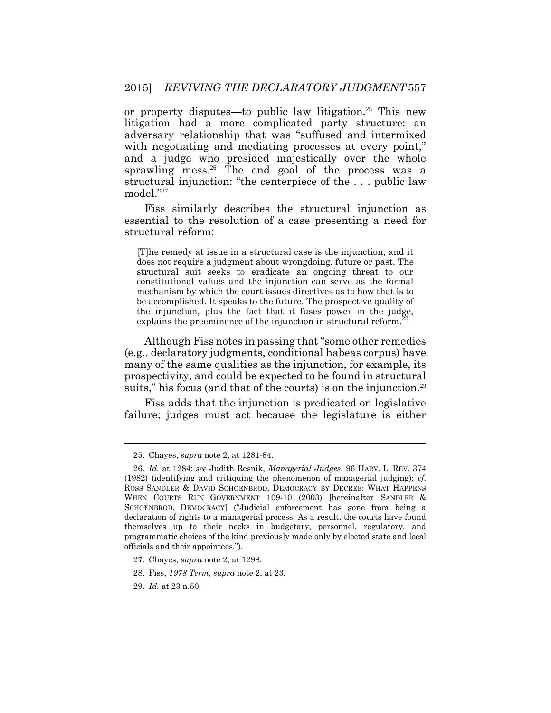or property disputes—to public law litigation.<sup>25</sup> This new litigation had a more complicated party structure: an adversary relationship that was "suffused and intermixed with negotiating and mediating processes at every point," and a judge who presided majestically over the whole sprawling mess.<sup>26</sup> The end goal of the process was a structural injunction: "the centerpiece of the . . . public law model."<sup>27</sup>

Fiss similarly describes the structural injunction as essential to the resolution of a case presenting a need for structural reform:

[T]he remedy at issue in a structural case is the injunction, and it does not require a judgment about wrongdoing, future or past. The structural suit seeks to eradicate an ongoing threat to our constitutional values and the injunction can serve as the formal mechanism by which the court issues directives as to how that is to be accomplished. It speaks to the future. The prospective quality of the injunction, plus the fact that it fuses power in the judge, explains the preeminence of the injunction in structural reform.<sup>2</sup>

Although Fiss notes in passing that "some other remedies (e.g., declaratory judgments, conditional habeas corpus) have many of the same qualities as the injunction, for example, its prospectivity, and could be expected to be found in structural suits," his focus (and that of the courts) is on the injunction.<sup>29</sup>

Fiss adds that the injunction is predicated on legislative failure; judges must act because the legislature is either

<sup>25.</sup> Chayes, *supra* note 2, at 1281-84.

<sup>26.</sup> *Id.* at 1284; *see* Judith Resnik, *Managerial Judges*, 96 HARV. L. REV. 374 (1982) (identifying and critiquing the phenomenon of managerial judging); *cf.* ROSS SANDLER & DAVID SCHOENBROD, DEMOCRACY BY DECREE: WHAT HAPPENS WHEN COURTS RUN GOVERNMENT 109-10 (2003) [hereinafter SANDLER & SCHOENBROD, DEMOCRACY] ("Judicial enforcement has gone from being a declaration of rights to a managerial process. As a result, the courts have found themselves up to their necks in budgetary, personnel, regulatory, and programmatic choices of the kind previously made only by elected state and local officials and their appointees.").

<sup>27.</sup> Chayes, *supra* not[e 2,](#page-1-0) at 1298.

<sup>28.</sup> Fiss, *1978 Term*, *supra* note [2,](#page-1-0) at 23.

<sup>29.</sup> *Id.* at 23 n.50.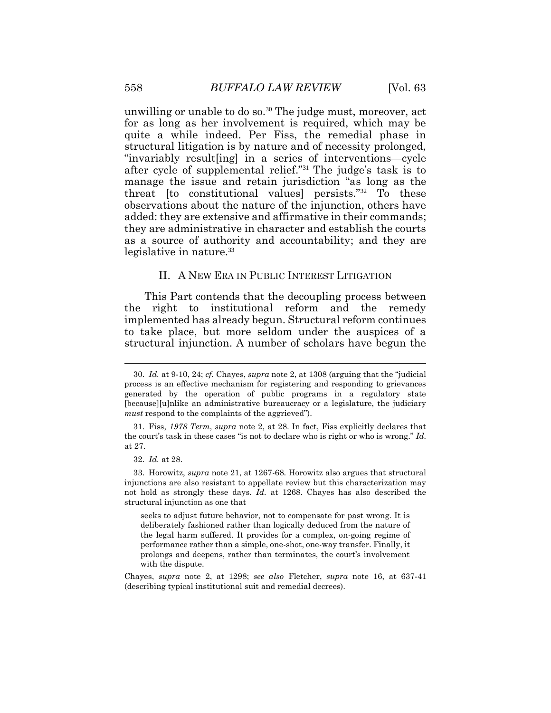unwilling or unable to do so.<sup>30</sup> The judge must, moreover, act for as long as her involvement is required, which may be quite a while indeed. Per Fiss, the remedial phase in structural litigation is by nature and of necessity prolonged, "invariably result[ing] in a series of interventions—cycle after cycle of supplemental relief."<sup>31</sup> The judge's task is to manage the issue and retain jurisdiction "as long as the threat [to constitutional values] persists."32 To these observations about the nature of the injunction, others have added: they are extensive and affirmative in their commands; they are administrative in character and establish the courts as a source of authority and accountability; and they are legislative in nature.<sup>33</sup>

#### II. A NEW ERA IN PUBLIC INTEREST LITIGATION

This Part contends that the decoupling process between the right to institutional reform and the remedy implemented has already begun. Structural reform continues to take place, but more seldom under the auspices of a structural injunction. A number of scholars have begun the

seeks to adjust future behavior, not to compensate for past wrong. It is deliberately fashioned rather than logically deduced from the nature of the legal harm suffered. It provides for a complex, on-going regime of performance rather than a simple, one-shot, one-way transfer. Finally, it prolongs and deepens, rather than terminates, the court's involvement with the dispute.

Chayes, *supra* note [2,](#page-1-0) at 1298; *see also* Fletcher, *supra* note 16, at 637-41 (describing typical institutional suit and remedial decrees).

<sup>30.</sup> *Id.* at 9-10, 24; *cf.* Chayes, *supra* note [2](#page-1-0), at 1308 (arguing that the "judicial process is an effective mechanism for registering and responding to grievances generated by the operation of public programs in a regulatory state [because][u]nlike an administrative bureaucracy or a legislature, the judiciary *must* respond to the complaints of the aggrieved").

<sup>31.</sup> Fiss, *1978 Term*, *supra* note [2,](#page-1-0) at 28. In fact, Fiss explicitly declares that the court's task in these cases "is not to declare who is right or who is wrong." *Id.* at 27.

<sup>32.</sup> *Id.* at 28.

<sup>33.</sup> Horowitz, *supra* note 21, at 1267-68. Horowitz also argues that structural injunctions are also resistant to appellate review but this characterization may not hold as strongly these days. *Id.* at 1268. Chayes has also described the structural injunction as one that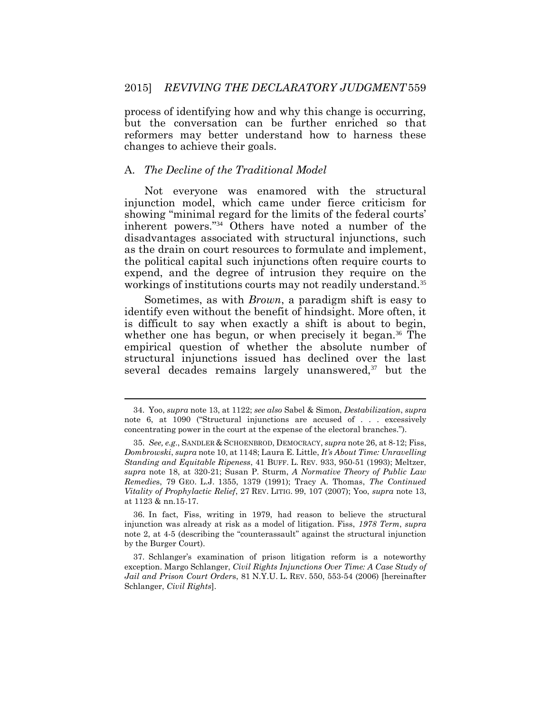process of identifying how and why this change is occurring, but the conversation can be further enriched so that reformers may better understand how to harness these changes to achieve their goals.

#### A. *The Decline of the Traditional Model*

 $\overline{a}$ 

Not everyone was enamored with the structural injunction model, which came under fierce criticism for showing "minimal regard for the limits of the federal courts' inherent powers."34 Others have noted a number of the disadvantages associated with structural injunctions, such as the drain on court resources to formulate and implement, the political capital such injunctions often require courts to expend, and the degree of intrusion they require on the workings of institutions courts may not readily understand.<sup>35</sup>

Sometimes, as with *Brown*, a paradigm shift is easy to identify even without the benefit of hindsight. More often, it is difficult to say when exactly a shift is about to begin, whether one has begun, or when precisely it began.<sup>36</sup> The empirical question of whether the absolute number of structural injunctions issued has declined over the last several decades remains largely unanswered,<sup>37</sup> but the

<sup>34.</sup> Yoo, *supra* note 13, at 1122; *see also* Sabel & Simon, *Destabilization*, *supra*  note [6,](#page-3-0) at 1090 ("Structural injunctions are accused of . . . excessively concentrating power in the court at the expense of the electoral branches.").

<sup>35.</sup> *See, e.g*., SANDLER & SCHOENBROD, DEMOCRACY, *supra* note 26, at 8-12; Fiss, *Dombrowski*, *supra* note 10, at 1148; Laura E. Little, *It's About Time: Unravelling Standing and Equitable Ripeness*, 41 BUFF. L. REV. 933, 950-51 (1993); Meltzer, *supra* note 18, at 320-21; Susan P. Sturm, *A Normative Theory of Public Law Remedie*s, 79 GEO. L.J. 1355, 1379 (1991); Tracy A. Thomas, *The Continued Vitality of Prophylactic Relief*, 27 REV. LITIG. 99, 107 (2007); Yoo, *supra* note 13, at 1123 & nn.15-17.

<sup>36.</sup> In fact, Fiss, writing in 1979, had reason to believe the structural injunction was already at risk as a model of litigation. Fiss, *1978 Term*, *supra*  note [2,](#page-1-0) at 4-5 (describing the "counterassault" against the structural injunction by the Burger Court).

<sup>37.</sup> Schlanger's examination of prison litigation reform is a noteworthy exception. Margo Schlanger, *Civil Rights Injunctions Over Time: A Case Study of Jail and Prison Court Order*s, 81 N.Y.U. L. REV. 550, 553-54 (2006) [hereinafter Schlanger, *Civil Rights*].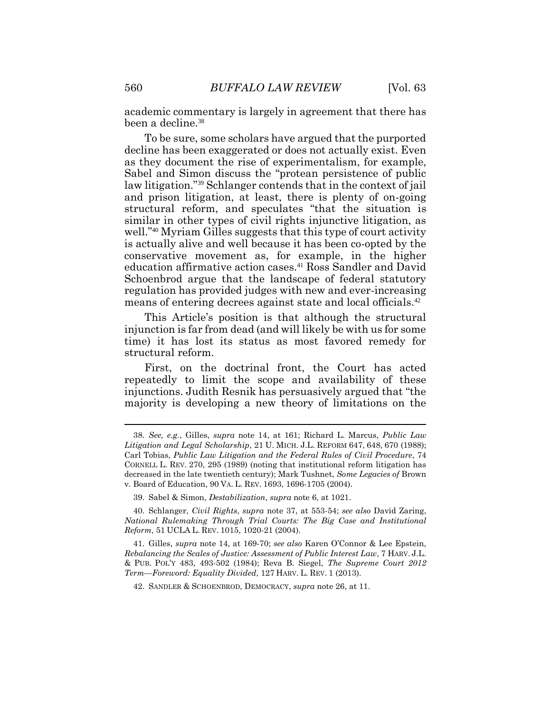academic commentary is largely in agreement that there has been a decline.<sup>38</sup>

To be sure, some scholars have argued that the purported decline has been exaggerated or does not actually exist. Even as they document the rise of experimentalism, for example, Sabel and Simon discuss the "protean persistence of public law litigation."<sup>39</sup> Schlanger contends that in the context of jail and prison litigation, at least, there is plenty of on-going structural reform, and speculates "that the situation is similar in other types of civil rights injunctive litigation, as well."<sup>40</sup> Myriam Gilles suggests that this type of court activity is actually alive and well because it has been co-opted by the conservative movement as, for example, in the higher education affirmative action cases.<sup>41</sup> Ross Sandler and David Schoenbrod argue that the landscape of federal statutory regulation has provided judges with new and ever-increasing means of entering decrees against state and local officials.<sup>42</sup>

This Article's position is that although the structural injunction is far from dead (and will likely be with us for some time) it has lost its status as most favored remedy for structural reform.

First, on the doctrinal front, the Court has acted repeatedly to limit the scope and availability of these injunctions. Judith Resnik has persuasively argued that "the majority is developing a new theory of limitations on the

<sup>38.</sup> *See, e.g.*, Gilles, *supra* note 14, at 161; Richard L. Marcus, *Public Law Litigation and Legal Scholarship*, 21 U. MICH. J.L. REFORM 647, 648, 670 (1988); Carl Tobias, *Public Law Litigation and the Federal Rules of Civil Procedure*, 74 CORNELL L. REV. 270, 295 (1989) (noting that institutional reform litigation has decreased in the late twentieth century); Mark Tushnet, *Some Legacies of* Brown v. Board of Education, 90 VA. L. REV. 1693, 1696-1705 (2004).

<sup>39.</sup> Sabel & Simon, *Destabilization*, *supra* note 6, at 1021.

<sup>40.</sup> Schlanger, *Civil Rights*, *supra* note 37, at 553-54; *see also* David Zaring, *National Rulemaking Through Trial Courts: The Big Case and Institutional Reform*, 51 UCLA L. REV. 1015, 1020-21 (2004).

<sup>41.</sup> Gilles, *supra* note 14, at 169-70; *see also* Karen O'Connor & Lee Epstein, *Rebalancing the Scales of Justice: Assessment of Public Interest Law*, 7 HARV. J.L. & PUB. POL'Y 483, 493-502 (1984); Reva B. Siegel, *The Supreme Court 2012 Term—Foreword: Equality Divided*, 127 HARV. L. REV. 1 (2013).

<sup>42.</sup> SANDLER & SCHOENBROD, DEMOCRACY, *supra* note 26, at 11.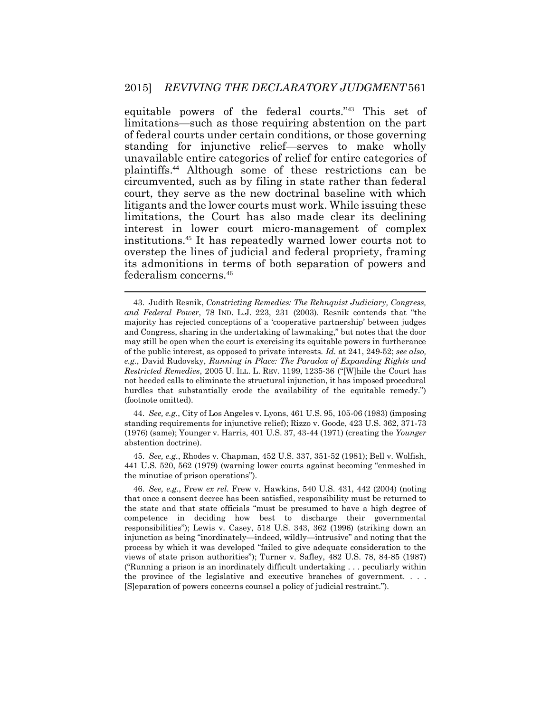equitable powers of the federal courts."<sup>43</sup> This set of limitations—such as those requiring abstention on the part of federal courts under certain conditions, or those governing standing for injunctive relief—serves to make wholly unavailable entire categories of relief for entire categories of plaintiffs.<sup>44</sup> Although some of these restrictions can be circumvented, such as by filing in state rather than federal court, they serve as the new doctrinal baseline with which litigants and the lower courts must work. While issuing these limitations, the Court has also made clear its declining interest in lower court micro-management of complex institutions.<sup>45</sup> It has repeatedly warned lower courts not to overstep the lines of judicial and federal propriety, framing its admonitions in terms of both separation of powers and federalism concerns.<sup>46</sup>

44. *See, e.g.*, City of Los Angeles v. Lyons, 461 U.S. 95, 105-06 (1983) (imposing standing requirements for injunctive relief); Rizzo v. Goode, 423 U.S. 362, 371-73 (1976) (same); Younger v. Harris, 401 U.S. 37, 43-44 (1971) (creating the *Younger* abstention doctrine).

45. *See, e.g.*, Rhodes v. Chapman, 452 U.S. 337, 351-52 (1981); Bell v. Wolfish, 441 U.S. 520, 562 (1979) (warning lower courts against becoming "enmeshed in the minutiae of prison operations").

<sup>43.</sup> Judith Resnik, *Constricting Remedies: The Rehnquist Judiciary, Congress, and Federal Power*, 78 IND. L.J. 223, 231 (2003). Resnik contends that "the majority has rejected conceptions of a 'cooperative partnership' between judges and Congress, sharing in the undertaking of lawmaking," but notes that the door may still be open when the court is exercising its equitable powers in furtherance of the public interest, as opposed to private interests. *Id.* at 241, 249-52; *see also, e.g.*, David Rudovsky, *Running in Place: The Paradox of Expanding Rights and Restricted Remedies*, 2005 U. ILL. L. REV. 1199, 1235-36 ("[W]hile the Court has not heeded calls to eliminate the structural injunction, it has imposed procedural hurdles that substantially erode the availability of the equitable remedy.") (footnote omitted).

<sup>46.</sup> *See, e.g.*, Frew *ex rel.* Frew v. Hawkins, 540 U.S. 431, 442 (2004) (noting that once a consent decree has been satisfied, responsibility must be returned to the state and that state officials "must be presumed to have a high degree of competence in deciding how best to discharge their governmental responsibilities"); Lewis v. Casey, 518 U.S. 343, 362 (1996) (striking down an injunction as being "inordinately—indeed, wildly—intrusive" and noting that the process by which it was developed "failed to give adequate consideration to the views of state prison authorities"); Turner v. Safley, 482 U.S. 78, 84-85 (1987) ("Running a prison is an inordinately difficult undertaking . . . peculiarly within the province of the legislative and executive branches of government. . . . [S]eparation of powers concerns counsel a policy of judicial restraint.").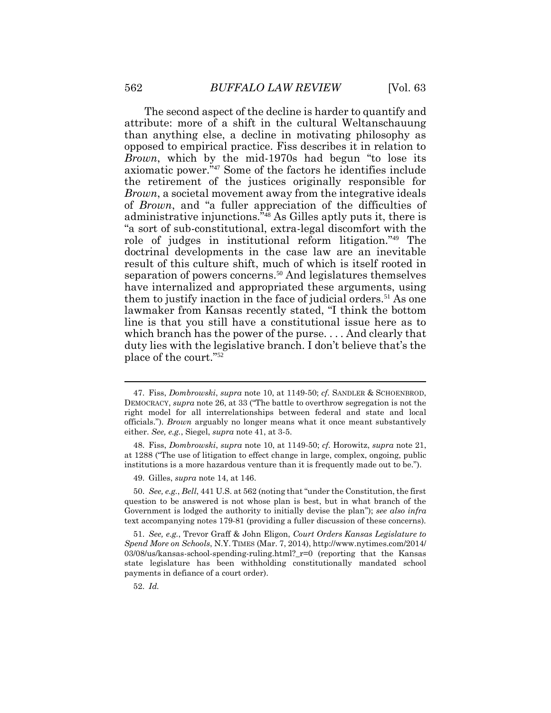The second aspect of the decline is harder to quantify and attribute: more of a shift in the cultural Weltanschauung than anything else, a decline in motivating philosophy as opposed to empirical practice. Fiss describes it in relation to *Brown*, which by the mid-1970s had begun "to lose its axiomatic power."<sup>47</sup> Some of the factors he identifies include the retirement of the justices originally responsible for *Brown*, a societal movement away from the integrative ideals of *Brown*, and "a fuller appreciation of the difficulties of administrative injunctions."<sup>48</sup> As Gilles aptly puts it, there is "a sort of sub-constitutional, extra-legal discomfort with the role of judges in institutional reform litigation."<sup>49</sup> The doctrinal developments in the case law are an inevitable result of this culture shift, much of which is itself rooted in separation of powers concerns.<sup>50</sup> And legislatures themselves have internalized and appropriated these arguments, using them to justify inaction in the face of judicial orders.<sup>51</sup> As one lawmaker from Kansas recently stated, "I think the bottom line is that you still have a constitutional issue here as to which branch has the power of the purse. . . . And clearly that duty lies with the legislative branch. I don't believe that's the place of the court."<sup>52</sup>

<sup>47.</sup> Fiss, *Dombrowski*, *supra* note 10, at 1149-50; *cf.* SANDLER & SCHOENBROD, DEMOCRACY, *supra* note 26, at 33 ("The battle to overthrow segregation is not the right model for all interrelationships between federal and state and local officials."). *Brown* arguably no longer means what it once meant substantively either. *See, e.g.*, Siegel, *supra* note 41, at 3-5.

<sup>48.</sup> Fiss, *Dombrowski*, *supra* note 10, at 1149-50; *cf.* Horowitz, *supra* note 21, at 1288 ("The use of litigation to effect change in large, complex, ongoing, public institutions is a more hazardous venture than it is frequently made out to be.").

<sup>49.</sup> Gilles, *supra* note 14, at 146.

<sup>50.</sup> *See, e.g.*, *Bell*, 441 U.S. at 562 (noting that "under the Constitution, the first question to be answered is not whose plan is best, but in what branch of the Government is lodged the authority to initially devise the plan"); *see also infra*  text accompanying notes 179-81 (providing a fuller discussion of these concerns).

<sup>51.</sup> *See, e.g.*, Trevor Graff & John Eligon, *Court Orders Kansas Legislature to Spend More on Schools*, N.Y. TIMES (Mar. 7, 2014), http://www.nytimes.com/2014/  $03/08/\text{us/kansas-school-spending-ruling.html?}$  r=0 (reporting that the Kansas state legislature has been withholding constitutionally mandated school payments in defiance of a court order).

<sup>52.</sup> *Id.*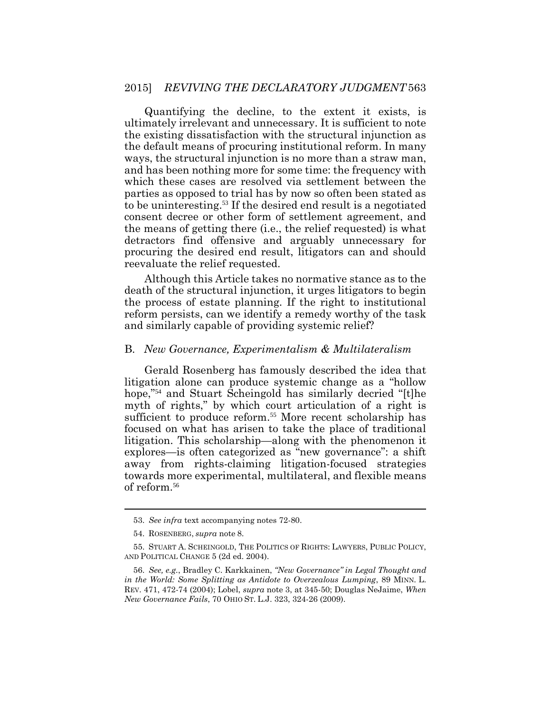#### 2015] *REVIVING THE DECLARATORY JUDGMENT* 563

Quantifying the decline, to the extent it exists, is ultimately irrelevant and unnecessary. It is sufficient to note the existing dissatisfaction with the structural injunction as the default means of procuring institutional reform. In many ways, the structural injunction is no more than a straw man, and has been nothing more for some time: the frequency with which these cases are resolved via settlement between the parties as opposed to trial has by now so often been stated as to be uninteresting.53 If the desired end result is a negotiated consent decree or other form of settlement agreement, and the means of getting there (i.e., the relief requested) is what detractors find offensive and arguably unnecessary for procuring the desired end result, litigators can and should reevaluate the relief requested.

Although this Article takes no normative stance as to the death of the structural injunction, it urges litigators to begin the process of estate planning. If the right to institutional reform persists, can we identify a remedy worthy of the task and similarly capable of providing systemic relief?

#### B. *New Governance, Experimentalism & Multilateralism*

Gerald Rosenberg has famously described the idea that litigation alone can produce systemic change as a "hollow hope,"54 and Stuart Scheingold has similarly decried "[t]he myth of rights," by which court articulation of a right is sufficient to produce reform.<sup>55</sup> More recent scholarship has focused on what has arisen to take the place of traditional litigation. This scholarship—along with the phenomenon it explores—is often categorized as "new governance": a shift away from rights-claiming litigation-focused strategies towards more experimental, multilateral, and flexible means of reform.<sup>56</sup>

 $\overline{a}$ 

<sup>53.</sup> *See infra* text accompanying notes 72-80.

<sup>54.</sup> ROSENBERG, *supra* note 8.

<sup>55.</sup> STUART A. SCHEINGOLD, THE POLITICS OF RIGHTS: LAWYERS, PUBLIC POLICY, AND POLITICAL CHANGE 5 (2d ed. 2004).

<sup>56.</sup> *See, e.g.*, Bradley C. Karkkainen, *"New Governance" in Legal Thought and in the World: Some Splitting as Antidote to Overzealous Lumping*, 89 MINN. L. REV. 471, 472-74 (2004); Lobel, *supra* note 3, at 345-50; Douglas NeJaime, *When New Governance Fails*, 70 OHIO ST. L.J. 323, 324-26 (2009).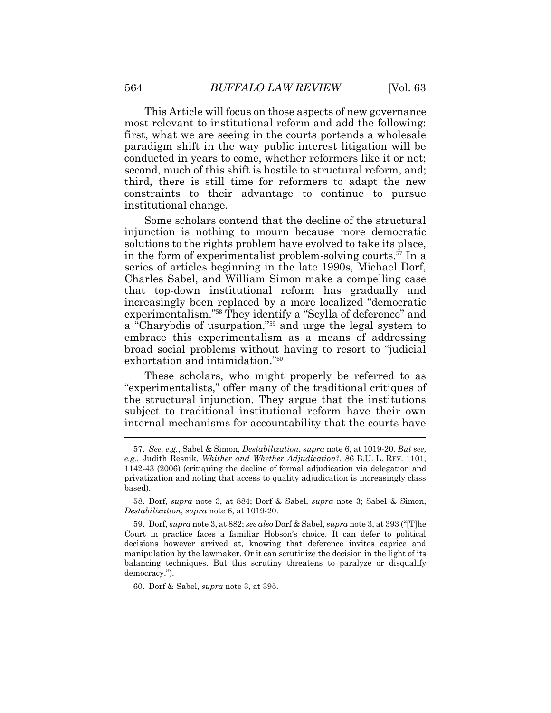This Article will focus on those aspects of new governance most relevant to institutional reform and add the following: first, what we are seeing in the courts portends a wholesale paradigm shift in the way public interest litigation will be conducted in years to come, whether reformers like it or not; second, much of this shift is hostile to structural reform, and; third, there is still time for reformers to adapt the new constraints to their advantage to continue to pursue institutional change.

Some scholars contend that the decline of the structural injunction is nothing to mourn because more democratic solutions to the rights problem have evolved to take its place, in the form of experimentalist problem-solving courts.<sup>57</sup> In a series of articles beginning in the late 1990s, Michael Dorf, Charles Sabel, and William Simon make a compelling case that top-down institutional reform has gradually and increasingly been replaced by a more localized "democratic experimentalism."<sup>58</sup> They identify a "Scylla of deference" and a "Charybdis of usurpation,"<sup>59</sup> and urge the legal system to embrace this experimentalism as a means of addressing broad social problems without having to resort to "judicial exhortation and intimidation."<sup>60</sup>

These scholars, who might properly be referred to as "experimentalists," offer many of the traditional critiques of the structural injunction. They argue that the institutions subject to traditional institutional reform have their own internal mechanisms for accountability that the courts have

60. Dorf & Sabel, *supra* note [3,](#page-2-0) at 395.

<sup>57.</sup> *See, e.g.*, Sabel & Simon, *Destabilization*, *supra* note 6, at 1019-20. *But see, e.g.*, Judith Resnik, *Whither and Whether Adjudication?*, 86 B.U. L. REV. 1101, 1142-43 (2006) (critiquing the decline of formal adjudication via delegation and privatization and noting that access to quality adjudication is increasingly class based).

<sup>58.</sup> Dorf, *supra* note [3,](#page-2-0) at 884; Dorf & Sabel, *supra* note [3;](#page-2-0) Sabel & Simon, *Destabilization*, *supra* note [6,](#page-3-0) at 1019-20.

<sup>59.</sup> Dorf, *supra* note [3,](#page-2-0) at 882; *see also* Dorf & Sabel, *supra* not[e 3](#page-2-0), at 393 ("[T]he Court in practice faces a familiar Hobson's choice. It can defer to political decisions however arrived at, knowing that deference invites caprice and manipulation by the lawmaker. Or it can scrutinize the decision in the light of its balancing techniques. But this scrutiny threatens to paralyze or disqualify democracy.").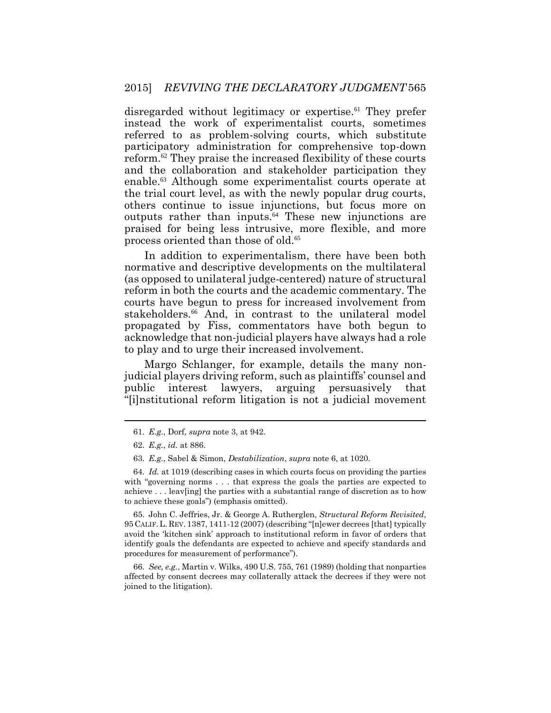disregarded without legitimacy or expertise.<sup>61</sup> They prefer instead the work of experimentalist courts, sometimes referred to as problem-solving courts, which substitute participatory administration for comprehensive top-down reform.<sup>62</sup> They praise the increased flexibility of these courts and the collaboration and stakeholder participation they enable.<sup>63</sup> Although some experimentalist courts operate at the trial court level, as with the newly popular drug courts, others continue to issue injunctions, but focus more on outputs rather than inputs.<sup>64</sup> These new injunctions are praised for being less intrusive, more flexible, and more process oriented than those of old.<sup>65</sup>

In addition to experimentalism, there have been both normative and descriptive developments on the multilateral (as opposed to unilateral judge-centered) nature of structural reform in both the courts and the academic commentary. The courts have begun to press for increased involvement from stakeholders.<sup>66</sup> And, in contrast to the unilateral model propagated by Fiss, commentators have both begun to acknowledge that non-judicial players have always had a role to play and to urge their increased involvement.

Margo Schlanger, for example, details the many nonjudicial players driving reform, such as plaintiffs' counsel and public interest lawyers, arguing persuasively that "[i]nstitutional reform litigation is not a judicial movement

65. John C. Jeffries, Jr. & George A. Rutherglen, *Structural Reform Revisited*, 95 CALIF.L. REV. 1387, 1411-12 (2007) (describing "[n]ewer decrees [that] typically avoid the 'kitchen sink' approach to institutional reform in favor of orders that identify goals the defendants are expected to achieve and specify standards and procedures for measurement of performance").

66. *See, e.g.*, Martin v. Wilks, 490 U.S. 755, 761 (1989) (holding that nonparties affected by consent decrees may collaterally attack the decrees if they were not joined to the litigation).

<sup>61.</sup> *E.g.*, Dorf, *supra* note [3,](#page-2-0) at 942.

<sup>62.</sup> *E.g.*, *id.* at 886.

<sup>63.</sup> *E.g.*, Sabel & Simon, *Destabilization*, *supra* note [6,](#page-3-0) at 1020.

<sup>64.</sup> *Id.* at 1019 (describing cases in which courts focus on providing the parties with "governing norms . . . that express the goals the parties are expected to achieve . . . leav[ing] the parties with a substantial range of discretion as to how to achieve these goals") (emphasis omitted).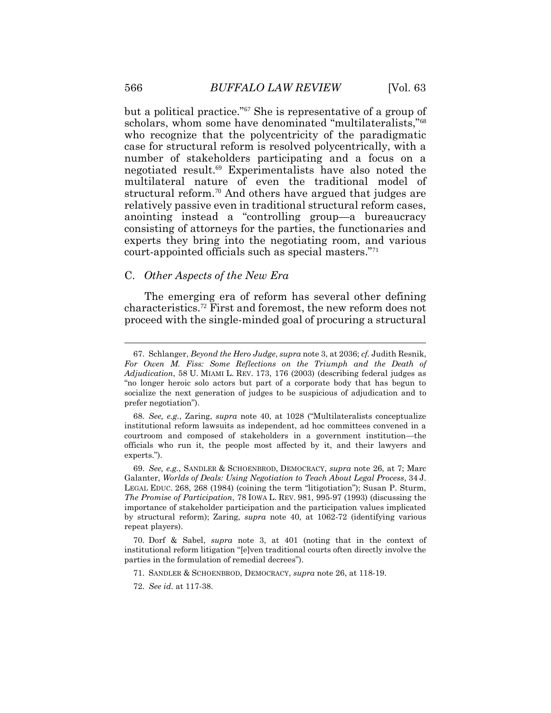but a political practice."67 She is representative of a group of scholars, whom some have denominated "multilateralists,"<sup>68</sup> who recognize that the polycentricity of the paradigmatic case for structural reform is resolved polycentrically, with a number of stakeholders participating and a focus on a negotiated result.69 Experimentalists have also noted the multilateral nature of even the traditional model of structural reform.<sup>70</sup> And others have argued that judges are relatively passive even in traditional structural reform cases, anointing instead a "controlling group—a bureaucracy consisting of attorneys for the parties, the functionaries and experts they bring into the negotiating room, and various court-appointed officials such as special masters."<sup>71</sup>

### C. *Other Aspects of the New Era*

The emerging era of reform has several other defining characteristics.72 First and foremost, the new reform does not proceed with the single-minded goal of procuring a structural

 $\overline{a}$ 

<sup>67.</sup> Schlanger, *Beyond the Hero Judge*, *supra* not[e 3,](#page-2-0) at 2036; *cf.* Judith Resnik, *For Owen M. Fiss: Some Reflections on the Triumph and the Death of Adjudication*, 58 U. MIAMI L. REV. 173, 176 (2003) (describing federal judges as "no longer heroic solo actors but part of a corporate body that has begun to socialize the next generation of judges to be suspicious of adjudication and to prefer negotiation").

<sup>68.</sup> *See, e.g.*, Zaring, *supra* note 40, at 1028 ("Multilateralists conceptualize institutional reform lawsuits as independent, ad hoc committees convened in a courtroom and composed of stakeholders in a government institution—the officials who run it, the people most affected by it, and their lawyers and experts.").

<sup>69.</sup> *See, e.g.*, SANDLER & SCHOENBROD, DEMOCRACY, *supra* note 26, at 7; Marc Galanter, *Worlds of Deals: Using Negotiation to Teach About Legal Process*, 34 J. LEGAL EDUC. 268, 268 (1984) (coining the term "litigotiation"); Susan P. Sturm, *The Promise of Participation*, 78 IOWA L. REV. 981, 995-97 (1993) (discussing the importance of stakeholder participation and the participation values implicated by structural reform); Zaring, *supra* note 40, at 1062-72 (identifying various repeat players).

<sup>70.</sup> Dorf & Sabel, *supra* note [3,](#page-2-0) at 401 (noting that in the context of institutional reform litigation "[e]ven traditional courts often directly involve the parties in the formulation of remedial decrees").

<sup>71.</sup> SANDLER & SCHOENBROD, DEMOCRACY, *supra* note 26, at 118-19.

<sup>72.</sup> *See id.* at 117-38.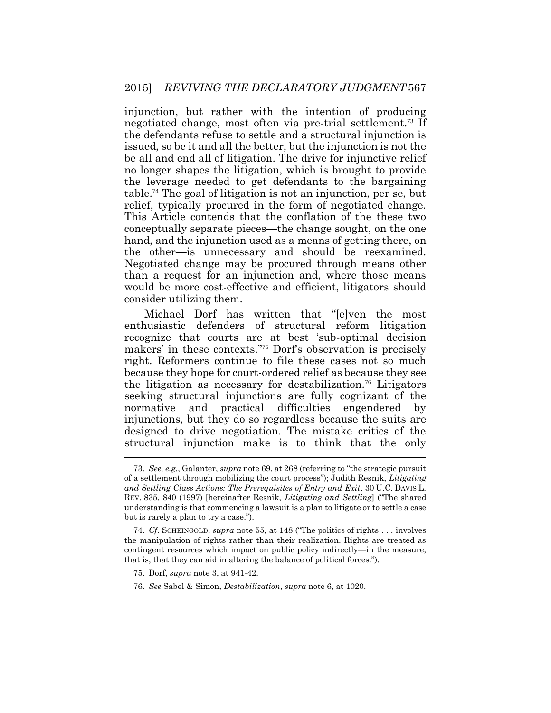injunction, but rather with the intention of producing negotiated change, most often via pre-trial settlement.<sup>73</sup> If the defendants refuse to settle and a structural injunction is issued, so be it and all the better, but the injunction is not the be all and end all of litigation. The drive for injunctive relief no longer shapes the litigation, which is brought to provide the leverage needed to get defendants to the bargaining table.<sup>74</sup> The goal of litigation is not an injunction, per se, but relief, typically procured in the form of negotiated change. This Article contends that the conflation of the these two conceptually separate pieces—the change sought, on the one hand, and the injunction used as a means of getting there, on the other—is unnecessary and should be reexamined. Negotiated change may be procured through means other than a request for an injunction and, where those means would be more cost-effective and efficient, litigators should consider utilizing them.

Michael Dorf has written that "[e]ven the most enthusiastic defenders of structural reform litigation recognize that courts are at best 'sub-optimal decision makers' in these contexts."<sup>75</sup> Dorf's observation is precisely right. Reformers continue to file these cases not so much because they hope for court-ordered relief as because they see the litigation as necessary for destabilization.<sup>76</sup> Litigators seeking structural injunctions are fully cognizant of the normative and practical difficulties engendered by injunctions, but they do so regardless because the suits are designed to drive negotiation. The mistake critics of the structural injunction make is to think that the only

<sup>73.</sup> *See, e.g.*, Galanter, *supra* note 69, at 268 (referring to "the strategic pursuit of a settlement through mobilizing the court process"); Judith Resnik, *Litigating and Settling Class Actions: The Prerequisites of Entry and Exit*, 30 U.C. DAVIS L. REV. 835, 840 (1997) [hereinafter Resnik, *Litigating and Settling*] ("The shared understanding is that commencing a lawsuit is a plan to litigate or to settle a case but is rarely a plan to try a case.").

<sup>74.</sup> *Cf*. SCHEINGOLD, *supra* note 55, at 148 ("The politics of rights . . . involves the manipulation of rights rather than their realization. Rights are treated as contingent resources which impact on public policy indirectly—in the measure, that is, that they can aid in altering the balance of political forces.").

<sup>75.</sup> Dorf, *supra* not[e 3,](#page-2-0) at 941-42.

<sup>76.</sup> *See* Sabel & Simon, *Destabilization*, *supra* note [6,](#page-3-0) at 1020.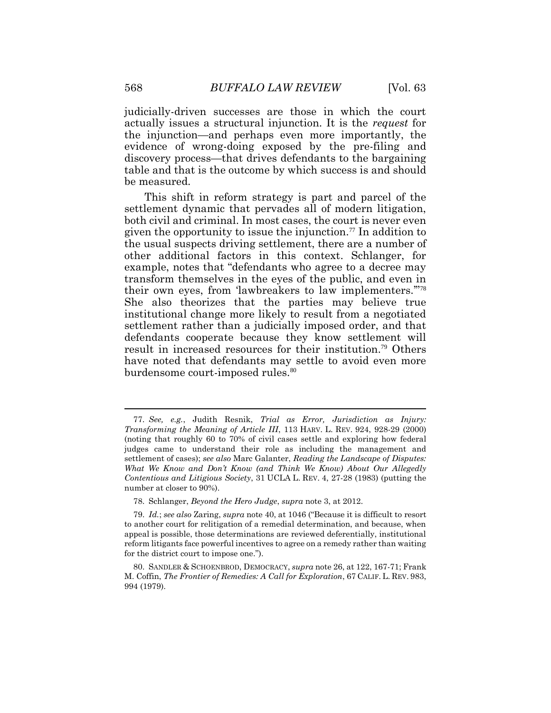judicially-driven successes are those in which the court actually issues a structural injunction. It is the *request* for the injunction—and perhaps even more importantly, the evidence of wrong-doing exposed by the pre-filing and discovery process—that drives defendants to the bargaining table and that is the outcome by which success is and should be measured.

This shift in reform strategy is part and parcel of the settlement dynamic that pervades all of modern litigation, both civil and criminal. In most cases, the court is never even given the opportunity to issue the injunction.<sup>77</sup> In addition to the usual suspects driving settlement, there are a number of other additional factors in this context. Schlanger, for example, notes that "defendants who agree to a decree may transform themselves in the eyes of the public, and even in their own eyes, from 'lawbreakers to law implementers.'" 78 She also theorizes that the parties may believe true institutional change more likely to result from a negotiated settlement rather than a judicially imposed order, and that defendants cooperate because they know settlement will result in increased resources for their institution.<sup>79</sup> Others have noted that defendants may settle to avoid even more burdensome court-imposed rules.<sup>80</sup>

<sup>77.</sup> *See, e.g.*, Judith Resnik, *Trial as Error, Jurisdiction as Injury: Transforming the Meaning of Article III*, 113 HARV. L. REV. 924, 928-29 (2000) (noting that roughly 60 to 70% of civil cases settle and exploring how federal judges came to understand their role as including the management and settlement of cases); *see also* Marc Galanter, *Reading the Landscape of Disputes: What We Know and Don't Know (and Think We Know) About Our Allegedly Contentious and Litigious Society*, 31 UCLA L. REV. 4, 27-28 (1983) (putting the number at closer to 90%).

<sup>78.</sup> Schlanger, *Beyond the Hero Judge*, *supra* note [3,](#page-2-0) at 2012.

<sup>79.</sup> *Id.*; *see also* Zaring, *supra* note 40, at 1046 ("Because it is difficult to resort to another court for relitigation of a remedial determination, and because, when appeal is possible, those determinations are reviewed deferentially, institutional reform litigants face powerful incentives to agree on a remedy rather than waiting for the district court to impose one.").

<sup>80.</sup> SANDLER & SCHOENBROD, DEMOCRACY, *supra* note 26, at 122, 167-71; Frank M. Coffin, *The Frontier of Remedies: A Call for Exploration*, 67 CALIF. L. REV. 983, 994 (1979).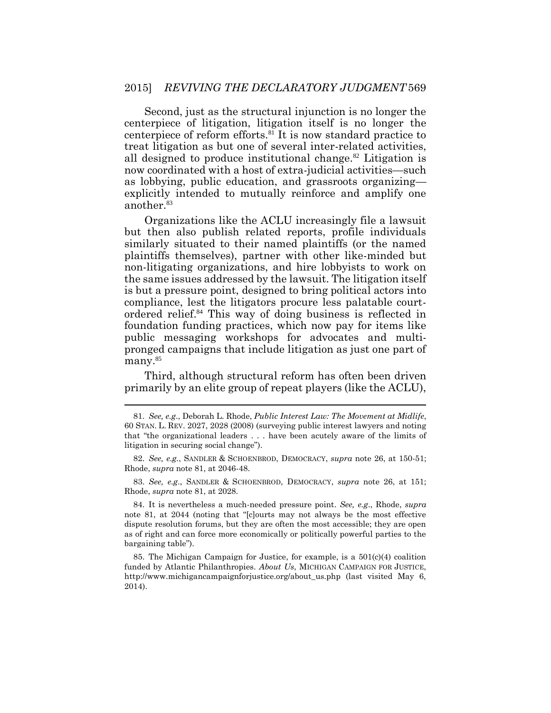Second, just as the structural injunction is no longer the centerpiece of litigation, litigation itself is no longer the centerpiece of reform efforts.<sup>81</sup> It is now standard practice to treat litigation as but one of several inter-related activities, all designed to produce institutional change.<sup>82</sup> Litigation is now coordinated with a host of extra-judicial activities—such as lobbying, public education, and grassroots organizing explicitly intended to mutually reinforce and amplify one another.<sup>83</sup>

Organizations like the ACLU increasingly file a lawsuit but then also publish related reports, profile individuals similarly situated to their named plaintiffs (or the named plaintiffs themselves), partner with other like-minded but non-litigating organizations, and hire lobbyists to work on the same issues addressed by the lawsuit. The litigation itself is but a pressure point, designed to bring political actors into compliance, lest the litigators procure less palatable courtordered relief.<sup>84</sup> This way of doing business is reflected in foundation funding practices, which now pay for items like public messaging workshops for advocates and multipronged campaigns that include litigation as just one part of many.<sup>85</sup>

Third, although structural reform has often been driven primarily by an elite group of repeat players (like the ACLU),

83. *See, e.g*., SANDLER & SCHOENBROD, DEMOCRACY, *supra* note 26, at 151; Rhode, *supra* note 81, at 2028.

84. It is nevertheless a much-needed pressure point. *See, e.g*., Rhode, *supra* note 81, at 2044 (noting that "[c]ourts may not always be the most effective dispute resolution forums, but they are often the most accessible; they are open as of right and can force more economically or politically powerful parties to the bargaining table").

85. The Michigan Campaign for Justice, for example, is a  $501(c)(4)$  coalition funded by Atlantic Philanthropies. *About Us*, MICHIGAN CAMPAIGN FOR JUSTICE, http://www.michigancampaignforjustice.org/about\_us.php (last visited May 6, 2014).

<sup>81.</sup> *See, e.g*., Deborah L. Rhode, *Public Interest Law: The Movement at Midlife*, 60 STAN. L. REV. 2027, 2028 (2008) (surveying public interest lawyers and noting that "the organizational leaders . . . have been acutely aware of the limits of litigation in securing social change").

<sup>82.</sup> *See, e.g.*, SANDLER & SCHOENBROD, DEMOCRACY, *supra* note 26, at 150-51; Rhode, *supra* note 81, at 2046-48.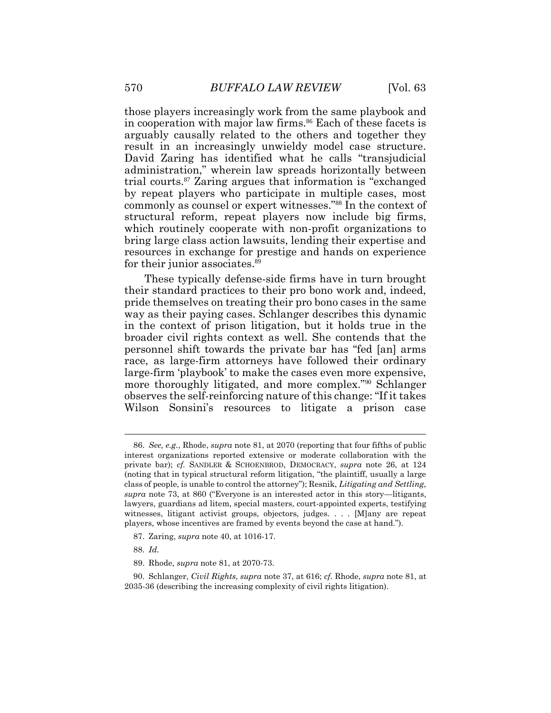those players increasingly work from the same playbook and in cooperation with major law firms.<sup>86</sup> Each of these facets is arguably causally related to the others and together they result in an increasingly unwieldy model case structure. David Zaring has identified what he calls "transjudicial administration," wherein law spreads horizontally between trial courts.<sup>87</sup> Zaring argues that information is "exchanged by repeat players who participate in multiple cases, most commonly as counsel or expert witnesses."<sup>88</sup> In the context of structural reform, repeat players now include big firms, which routinely cooperate with non-profit organizations to bring large class action lawsuits, lending their expertise and resources in exchange for prestige and hands on experience for their junior associates.<sup>89</sup>

These typically defense-side firms have in turn brought their standard practices to their pro bono work and, indeed, pride themselves on treating their pro bono cases in the same way as their paying cases. Schlanger describes this dynamic in the context of prison litigation, but it holds true in the broader civil rights context as well. She contends that the personnel shift towards the private bar has "fed [an] arms race, as large-firm attorneys have followed their ordinary large-firm 'playbook' to make the cases even more expensive, more thoroughly litigated, and more complex."<sup>90</sup> Schlanger observes the self-reinforcing nature of this change: "If it takes Wilson Sonsini's resources to litigate a prison case

88. *Id.*

<sup>86.</sup> *See, e.g.*, Rhode, *supra* note 81, at 2070 (reporting that four fifths of public interest organizations reported extensive or moderate collaboration with the private bar); *cf.* SANDLER & SCHOENBROD, DEMOCRACY, *supra* note 26, at 124 (noting that in typical structural reform litigation, "the plaintiff, usually a large class of people, is unable to control the attorney"); Resnik, *Litigating and Settling*, *supra* note 73, at 860 ("Everyone is an interested actor in this story—litigants, lawyers, guardians ad litem, special masters, court-appointed experts, testifying witnesses, litigant activist groups, objectors, judges. . . . [M]any are repeat players, whose incentives are framed by events beyond the case at hand.").

<sup>87.</sup> Zaring, *supra* note 40, at 1016-17.

<sup>89.</sup> Rhode, *supra* note 81, at 2070-73.

<sup>90.</sup> Schlanger, *Civil Rights*, *supra* note 37, at 616; *cf.* Rhode, *supra* note 81, at 2035-36 (describing the increasing complexity of civil rights litigation).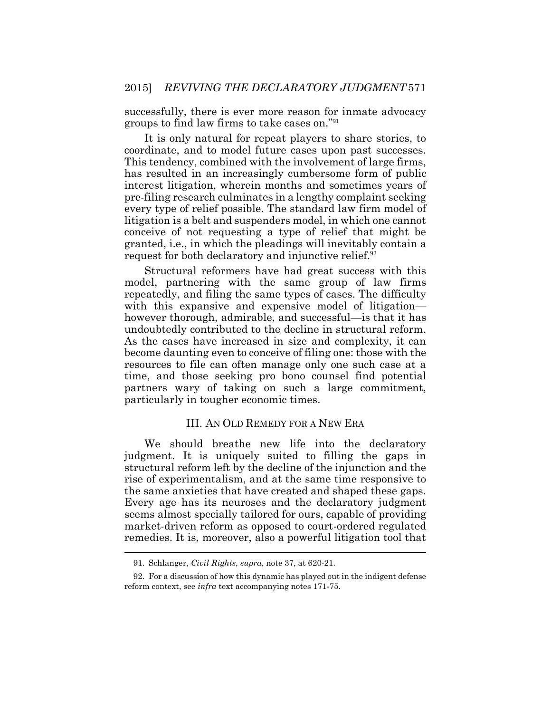successfully, there is ever more reason for inmate advocacy groups to find law firms to take cases on."<sup>91</sup>

It is only natural for repeat players to share stories, to coordinate, and to model future cases upon past successes. This tendency, combined with the involvement of large firms, has resulted in an increasingly cumbersome form of public interest litigation, wherein months and sometimes years of pre-filing research culminates in a lengthy complaint seeking every type of relief possible. The standard law firm model of litigation is a belt and suspenders model, in which one cannot conceive of not requesting a type of relief that might be granted, i.e., in which the pleadings will inevitably contain a request for both declaratory and injunctive relief.<sup>92</sup>

Structural reformers have had great success with this model, partnering with the same group of law firms repeatedly, and filing the same types of cases. The difficulty with this expansive and expensive model of litigation however thorough, admirable, and successful—is that it has undoubtedly contributed to the decline in structural reform. As the cases have increased in size and complexity, it can become daunting even to conceive of filing one: those with the resources to file can often manage only one such case at a time, and those seeking pro bono counsel find potential partners wary of taking on such a large commitment, particularly in tougher economic times.

#### III. AN OLD REMEDY FOR A NEW ERA

We should breathe new life into the declaratory judgment. It is uniquely suited to filling the gaps in structural reform left by the decline of the injunction and the rise of experimentalism, and at the same time responsive to the same anxieties that have created and shaped these gaps. Every age has its neuroses and the declaratory judgment seems almost specially tailored for ours, capable of providing market-driven reform as opposed to court-ordered regulated remedies. It is, moreover, also a powerful litigation tool that  $\overline{a}$ 

<sup>91.</sup> Schlanger, *Civil Rights*, *supra*, note 37, at 620-21.

<sup>92.</sup> For a discussion of how this dynamic has played out in the indigent defense reform context, see *infra* text accompanying notes 171-75.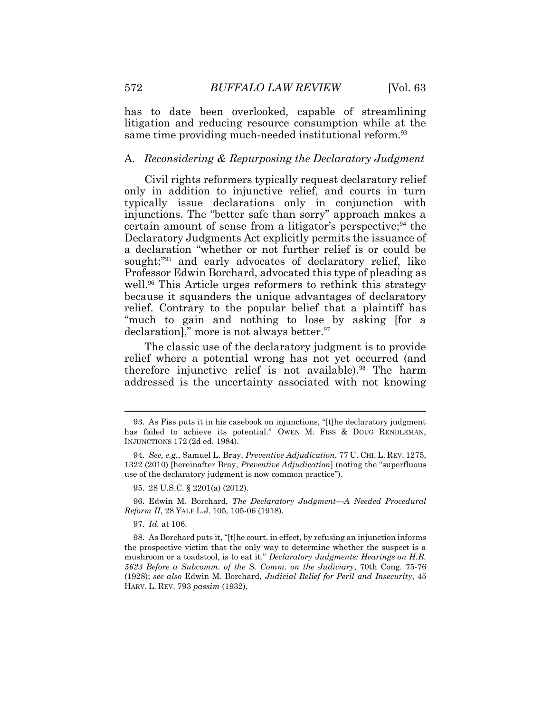has to date been overlooked, capable of streamlining litigation and reducing resource consumption while at the same time providing much-needed institutional reform.<sup>93</sup>

#### A. *Reconsidering & Repurposing the Declaratory Judgment*

Civil rights reformers typically request declaratory relief only in addition to injunctive relief, and courts in turn typically issue declarations only in conjunction with injunctions. The "better safe than sorry" approach makes a certain amount of sense from a litigator's perspective;  $94$  the Declaratory Judgments Act explicitly permits the issuance of a declaration "whether or not further relief is or could be sought;"<sup>95</sup> and early advocates of declaratory relief, like Professor Edwin Borchard, advocated this type of pleading as well.<sup>96</sup> This Article urges reformers to rethink this strategy because it squanders the unique advantages of declaratory relief. Contrary to the popular belief that a plaintiff has "much to gain and nothing to lose by asking [for a declaration]," more is not always better.<sup>97</sup>

The classic use of the declaratory judgment is to provide relief where a potential wrong has not yet occurred (and therefore injunctive relief is not available).<sup>98</sup> The harm addressed is the uncertainty associated with not knowing

97. *Id.* at 106.

 $\overline{a}$ 

<sup>93.</sup> As Fiss puts it in his casebook on injunctions, "[t]he declaratory judgment has failed to achieve its potential." OWEN M. FISS & DOUG RENDLEMAN, INJUNCTIONS 172 (2d ed. 1984).

<sup>94.</sup> *See, e.g.*, Samuel L. Bray, *Preventive Adjudication*, 77 U. CHI. L. REV. 1275, 1322 (2010) [hereinafter Bray, *Preventive Adjudication*] (noting the "superfluous use of the declaratory judgment is now common practice").

<sup>95. 28</sup> U.S.C. § 2201(a) (2012).

<sup>96.</sup> Edwin M. Borchard, *The Declaratory Judgment—A Needed Procedural Reform II*, 28 YALE L.J. 105, 105-06 (1918).

<sup>98.</sup> As Borchard puts it, "[t]he court, in effect, by refusing an injunction informs the prospective victim that the only way to determine whether the suspect is a mushroom or a toadstool, is to eat it." *Declaratory Judgments: Hearings on H.R. 5623 Before a Subcomm. of the S. Comm. on the Judiciary*, 70th Cong. 75-76 (1928); *see also* Edwin M. Borchard, *Judicial Relief for Peril and Insecurity*, 45 HARV. L. REV. 793 *passim* (1932).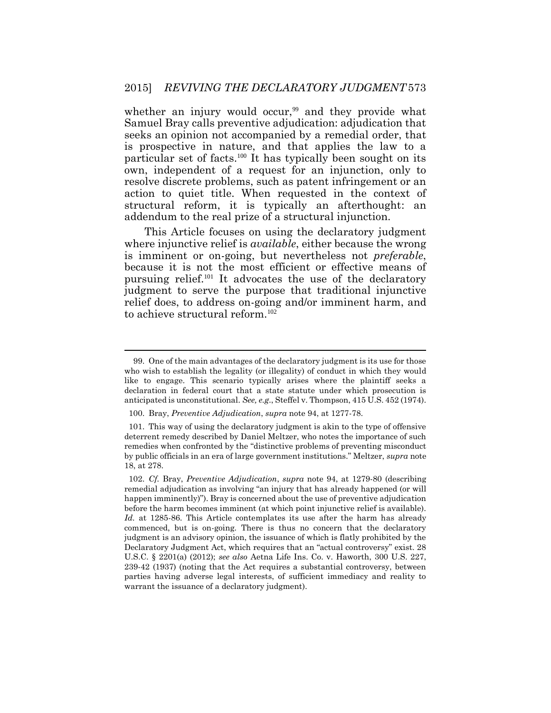whether an injury would occur,<sup>99</sup> and they provide what Samuel Bray calls preventive adjudication: adjudication that seeks an opinion not accompanied by a remedial order, that is prospective in nature, and that applies the law to a particular set of facts.<sup>100</sup> It has typically been sought on its own, independent of a request for an injunction, only to resolve discrete problems, such as patent infringement or an action to quiet title. When requested in the context of structural reform, it is typically an afterthought: an addendum to the real prize of a structural injunction.

This Article focuses on using the declaratory judgment where injunctive relief is *available*, either because the wrong is imminent or on-going, but nevertheless not *preferable*, because it is not the most efficient or effective means of pursuing relief.<sup>101</sup> It advocates the use of the declaratory judgment to serve the purpose that traditional injunctive relief does, to address on-going and/or imminent harm, and to achieve structural reform.<sup>102</sup>

<sup>99.</sup> One of the main advantages of the declaratory judgment is its use for those who wish to establish the legality (or illegality) of conduct in which they would like to engage. This scenario typically arises where the plaintiff seeks a declaration in federal court that a state statute under which prosecution is anticipated is unconstitutional. *See, e.g*., Steffel v. Thompson, 415 U.S. 452 (1974).

<sup>100.</sup> Bray, *Preventive Adjudication*, *supra* note 94, at 1277-78.

<sup>101.</sup> This way of using the declaratory judgment is akin to the type of offensive deterrent remedy described by Daniel Meltzer, who notes the importance of such remedies when confronted by the "distinctive problems of preventing misconduct by public officials in an era of large government institutions." Meltzer, *supra* note 18, at 278.

<sup>102.</sup> *Cf.* Bray, *Preventive Adjudication*, *supra* note 94, at 1279-80 (describing remedial adjudication as involving "an injury that has already happened (or will happen imminently)"). Bray is concerned about the use of preventive adjudication before the harm becomes imminent (at which point injunctive relief is available). *Id.* at 1285-86. This Article contemplates its use after the harm has already commenced, but is on-going. There is thus no concern that the declaratory judgment is an advisory opinion, the issuance of which is flatly prohibited by the Declaratory Judgment Act, which requires that an "actual controversy" exist. 28 U.S.C. § 2201(a) (2012); *see also* Aetna Life Ins. Co. v. Haworth, 300 U.S. 227, 239-42 (1937) (noting that the Act requires a substantial controversy, between parties having adverse legal interests, of sufficient immediacy and reality to warrant the issuance of a declaratory judgment).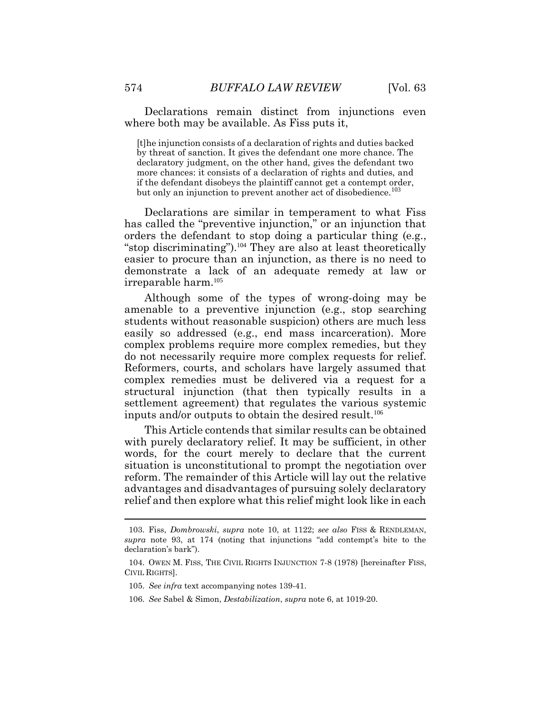Declarations remain distinct from injunctions even where both may be available. As Fiss puts it,

[t]he injunction consists of a declaration of rights and duties backed by threat of sanction. It gives the defendant one more chance. The declaratory judgment, on the other hand, gives the defendant two more chances: it consists of a declaration of rights and duties, and if the defendant disobeys the plaintiff cannot get a contempt order, but only an injunction to prevent another act of disobedience.<sup>103</sup>

Declarations are similar in temperament to what Fiss has called the "preventive injunction," or an injunction that orders the defendant to stop doing a particular thing (e.g., "stop discriminating").<sup>104</sup> They are also at least theoretically easier to procure than an injunction, as there is no need to demonstrate a lack of an adequate remedy at law or irreparable harm.<sup>105</sup>

Although some of the types of wrong-doing may be amenable to a preventive injunction (e.g., stop searching students without reasonable suspicion) others are much less easily so addressed (e.g., end mass incarceration). More complex problems require more complex remedies, but they do not necessarily require more complex requests for relief. Reformers, courts, and scholars have largely assumed that complex remedies must be delivered via a request for a structural injunction (that then typically results in a settlement agreement) that regulates the various systemic inputs and/or outputs to obtain the desired result.<sup>106</sup>

This Article contends that similar results can be obtained with purely declaratory relief. It may be sufficient, in other words, for the court merely to declare that the current situation is unconstitutional to prompt the negotiation over reform. The remainder of this Article will lay out the relative advantages and disadvantages of pursuing solely declaratory relief and then explore what this relief might look like in each

<sup>103.</sup> Fiss, *Dombrowski*, *supra* note 10, at 1122; *see also* FISS & RENDLEMAN, *supra* note 93, at 174 (noting that injunctions "add contempt's bite to the declaration's bark").

<sup>104.</sup> OWEN M. FISS, THE CIVIL RIGHTS INJUNCTION 7-8 (1978) [hereinafter FISS, CIVIL RIGHTS].

<sup>105.</sup> *See infra* text accompanying notes 139-41.

<sup>106.</sup> *See* Sabel & Simon, *Destabilization*, *supra* note [6,](#page-3-0) at 1019-20.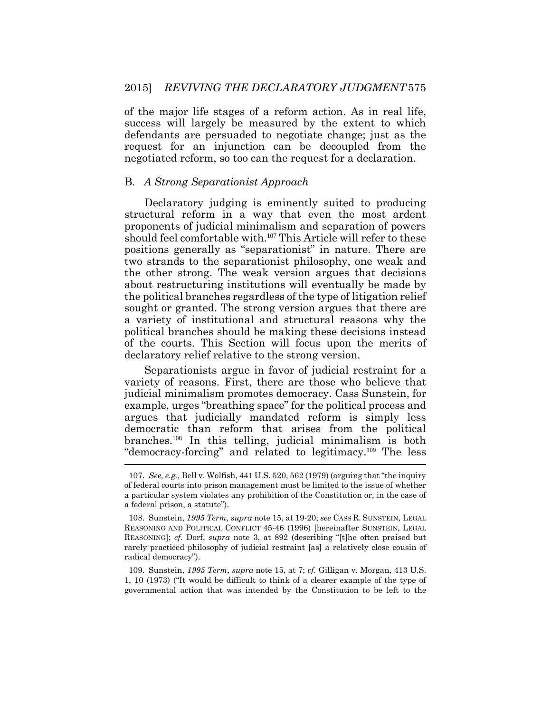of the major life stages of a reform action. As in real life, success will largely be measured by the extent to which defendants are persuaded to negotiate change; just as the request for an injunction can be decoupled from the negotiated reform, so too can the request for a declaration.

#### B. *A Strong Separationist Approach*

Declaratory judging is eminently suited to producing structural reform in a way that even the most ardent proponents of judicial minimalism and separation of powers should feel comfortable with.<sup>107</sup> This Article will refer to these positions generally as "separationist" in nature. There are two strands to the separationist philosophy, one weak and the other strong. The weak version argues that decisions about restructuring institutions will eventually be made by the political branches regardless of the type of litigation relief sought or granted. The strong version argues that there are a variety of institutional and structural reasons why the political branches should be making these decisions instead of the courts. This Section will focus upon the merits of declaratory relief relative to the strong version.

Separationists argue in favor of judicial restraint for a variety of reasons. First, there are those who believe that judicial minimalism promotes democracy. Cass Sunstein, for example, urges "breathing space" for the political process and argues that judicially mandated reform is simply less democratic than reform that arises from the political branches.108 In this telling, judicial minimalism is both "democracy-forcing" and related to legitimacy.109 The less

<sup>107.</sup> *See, e.g.*, Bell v. Wolfish, 441 U.S. 520, 562 (1979) (arguing that "the inquiry of federal courts into prison management must be limited to the issue of whether a particular system violates any prohibition of the Constitution or, in the case of a federal prison, a statute").

<sup>108.</sup> Sunstein, *1995 Term*, *supra* note 15, at 19-20; *see* CASS R. SUNSTEIN, LEGAL REASONING AND POLITICAL CONFLICT 45-46 (1996) [hereinafter SUNSTEIN, LEGAL REASONING]; *cf*. Dorf, *supra* note [3](#page-2-0), at 892 (describing "[t]he often praised but rarely practiced philosophy of judicial restraint [as] a relatively close cousin of radical democracy").

<sup>109.</sup> Sunstein, *1995 Term*, *supra* note 15, at 7; *cf.* Gilligan v. Morgan, 413 U.S. 1, 10 (1973) ("It would be difficult to think of a clearer example of the type of governmental action that was intended by the Constitution to be left to the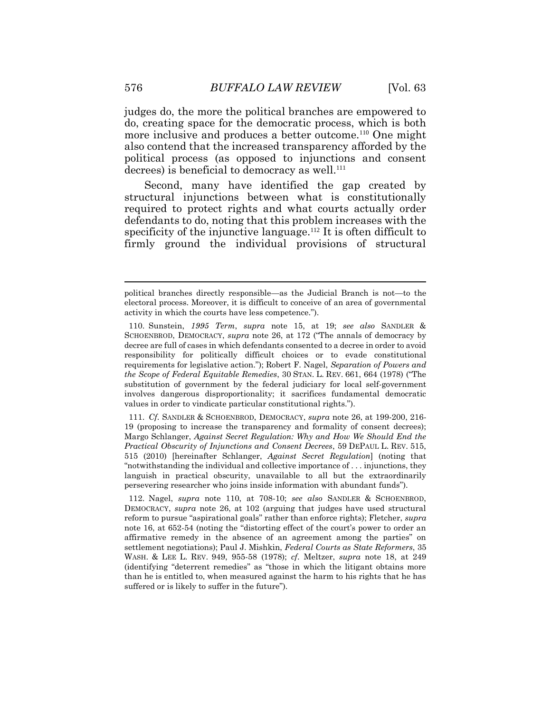judges do, the more the political branches are empowered to do, creating space for the democratic process, which is both more inclusive and produces a better outcome.<sup>110</sup> One might also contend that the increased transparency afforded by the political process (as opposed to injunctions and consent decrees) is beneficial to democracy as well.<sup>111</sup>

Second, many have identified the gap created by structural injunctions between what is constitutionally required to protect rights and what courts actually order defendants to do, noting that this problem increases with the specificity of the injunctive language.<sup>112</sup> It is often difficult to firmly ground the individual provisions of structural

111. *Cf*. SANDLER & SCHOENBROD, DEMOCRACY, *supra* note 26, at 199-200, 216- 19 (proposing to increase the transparency and formality of consent decrees); Margo Schlanger, *Against Secret Regulation: Why and How We Should End the Practical Obscurity of Injunctions and Consent Decrees*, 59 DEPAUL L. REV. 515, 515 (2010) [hereinafter Schlanger, *Against Secret Regulation*] (noting that "notwithstanding the individual and collective importance of . . . injunctions, they languish in practical obscurity, unavailable to all but the extraordinarily persevering researcher who joins inside information with abundant funds").

political branches directly responsible—as the Judicial Branch is not—to the electoral process. Moreover, it is difficult to conceive of an area of governmental activity in which the courts have less competence.").

<sup>110.</sup> Sunstein, *1995 Term*, *supra* note 15, at 19; *see also* SANDLER & SCHOENBROD, DEMOCRACY, *supra* note 26, at 172 ("The annals of democracy by decree are full of cases in which defendants consented to a decree in order to avoid responsibility for politically difficult choices or to evade constitutional requirements for legislative action."); Robert F. Nagel, *Separation of Powers and the Scope of Federal Equitable Remedies*, 30 STAN. L. REV. 661, 664 (1978) ("The substitution of government by the federal judiciary for local self-government involves dangerous disproportionality; it sacrifices fundamental democratic values in order to vindicate particular constitutional rights.").

<sup>112.</sup> Nagel, *supra* note 110, at 708-10; *see also* SANDLER & SCHOENBROD, DEMOCRACY, *supra* note 26, at 102 (arguing that judges have used structural reform to pursue "aspirational goals" rather than enforce rights); Fletcher, *supra*  note 16, at 652-54 (noting the "distorting effect of the court's power to order an affirmative remedy in the absence of an agreement among the parties" on settlement negotiations); Paul J. Mishkin, *Federal Courts as State Reformers*, 35 WASH. & LEE L. REV. 949, 955-58 (1978); *cf*. Meltzer, *supra* note 18, at 249 (identifying "deterrent remedies" as "those in which the litigant obtains more than he is entitled to, when measured against the harm to his rights that he has suffered or is likely to suffer in the future").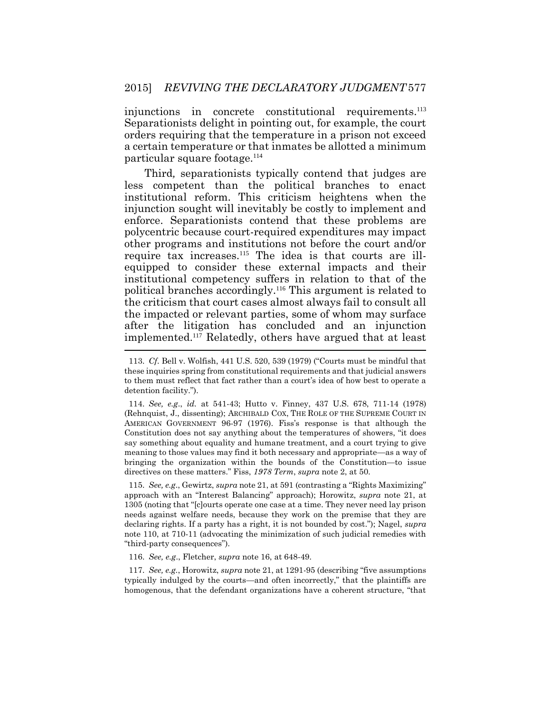injunctions in concrete constitutional requirements.<sup>113</sup> Separationists delight in pointing out, for example, the court orders requiring that the temperature in a prison not exceed a certain temperature or that inmates be allotted a minimum particular square footage.<sup>114</sup>

Third*,* separationists typically contend that judges are less competent than the political branches to enact institutional reform. This criticism heightens when the injunction sought will inevitably be costly to implement and enforce. Separationists contend that these problems are polycentric because court-required expenditures may impact other programs and institutions not before the court and/or require tax increases.<sup>115</sup> The idea is that courts are illequipped to consider these external impacts and their institutional competency suffers in relation to that of the political branches accordingly.<sup>116</sup> This argument is related to the criticism that court cases almost always fail to consult all the impacted or relevant parties, some of whom may surface after the litigation has concluded and an injunction implemented.<sup>117</sup> Relatedly, others have argued that at least

115. *See, e.g*., Gewirtz, *supra* note 21, at 591 (contrasting a "Rights Maximizing" approach with an "Interest Balancing" approach); Horowitz, *supra* note [21,](#page-8-0) at 1305 (noting that "[c]ourts operate one case at a time. They never need lay prison needs against welfare needs, because they work on the premise that they are declaring rights. If a party has a right, it is not bounded by cost."); Nagel, *supra*  note 110, at 710-11 (advocating the minimization of such judicial remedies with "third-party consequences").

116. *See, e.g*., Fletcher, *supra* note 16, at 648-49.

117. *See, e.g.*, Horowitz, *supra* note 21, at 1291-95 (describing "five assumptions typically indulged by the courts—and often incorrectly," that the plaintiffs are homogenous, that the defendant organizations have a coherent structure, "that

<sup>113.</sup> *Cf*. Bell v. Wolfish, 441 U.S. 520, 539 (1979) ("Courts must be mindful that these inquiries spring from constitutional requirements and that judicial answers to them must reflect that fact rather than a court's idea of how best to operate a detention facility.").

<sup>114.</sup> *See, e.g*., *id.* at 541-43; Hutto v. Finney, 437 U.S. 678, 711-14 (1978) (Rehnquist, J., dissenting); ARCHIBALD COX, THE ROLE OF THE SUPREME COURT IN AMERICAN GOVERNMENT 96-97 (1976). Fiss's response is that although the Constitution does not say anything about the temperatures of showers, "it does say something about equality and humane treatment, and a court trying to give meaning to those values may find it both necessary and appropriate—as a way of bringing the organization within the bounds of the Constitution—to issue directives on these matters." Fiss, *1978 Term*, *supra* note [2,](#page-1-0) at 50.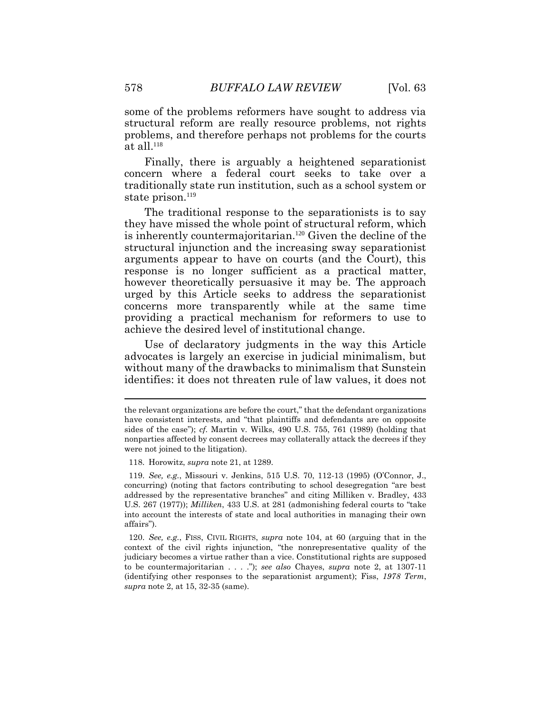some of the problems reformers have sought to address via structural reform are really resource problems, not rights problems, and therefore perhaps not problems for the courts at all. $118$ 

Finally, there is arguably a heightened separationist concern where a federal court seeks to take over a traditionally state run institution, such as a school system or state prison.<sup>119</sup>

The traditional response to the separationists is to say they have missed the whole point of structural reform, which is inherently countermajoritarian.<sup>120</sup> Given the decline of the structural injunction and the increasing sway separationist arguments appear to have on courts (and the Court), this response is no longer sufficient as a practical matter, however theoretically persuasive it may be. The approach urged by this Article seeks to address the separationist concerns more transparently while at the same time providing a practical mechanism for reformers to use to achieve the desired level of institutional change.

Use of declaratory judgments in the way this Article advocates is largely an exercise in judicial minimalism, but without many of the drawbacks to minimalism that Sunstein identifies: it does not threaten rule of law values, it does not

the relevant organizations are before the court," that the defendant organizations have consistent interests, and "that plaintiffs and defendants are on opposite sides of the case"); *cf.* Martin v. Wilks, 490 U.S. 755, 761 (1989) (holding that nonparties affected by consent decrees may collaterally attack the decrees if they were not joined to the litigation).

<sup>118.</sup> Horowitz, *supra* note 21, at 1289.

<sup>119.</sup> *See, e.g.*, Missouri v. Jenkins, 515 U.S. 70, 112-13 (1995) (O'Connor, J., concurring) (noting that factors contributing to school desegregation "are best addressed by the representative branches" and citing Milliken v. Bradley, 433 U.S. 267 (1977)); *Milliken*, 433 U.S. at 281 (admonishing federal courts to "take into account the interests of state and local authorities in managing their own affairs").

<sup>120.</sup> *See, e.g.*, FISS, CIVIL RIGHTS, *supra* note 104, at 60 (arguing that in the context of the civil rights injunction, "the nonrepresentative quality of the judiciary becomes a virtue rather than a vice. Constitutional rights are supposed to be countermajoritarian . . . ."); *see also* Chayes, *supra* note 2, at 1307-11 (identifying other responses to the separationist argument); Fiss, *1978 Term*, *supra* note 2, at 15, 32-35 (same).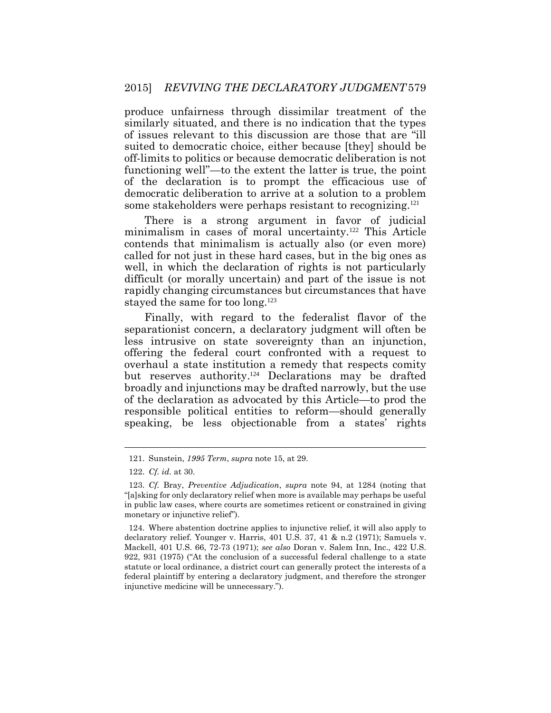produce unfairness through dissimilar treatment of the similarly situated, and there is no indication that the types of issues relevant to this discussion are those that are "ill suited to democratic choice, either because [they] should be off-limits to politics or because democratic deliberation is not functioning well"—to the extent the latter is true, the point of the declaration is to prompt the efficacious use of democratic deliberation to arrive at a solution to a problem some stakeholders were perhaps resistant to recognizing.<sup>121</sup>

There is a strong argument in favor of judicial minimalism in cases of moral uncertainty.<sup>122</sup> This Article contends that minimalism is actually also (or even more) called for not just in these hard cases, but in the big ones as well, in which the declaration of rights is not particularly difficult (or morally uncertain) and part of the issue is not rapidly changing circumstances but circumstances that have stayed the same for too long.<sup>123</sup>

Finally, with regard to the federalist flavor of the separationist concern, a declaratory judgment will often be less intrusive on state sovereignty than an injunction, offering the federal court confronted with a request to overhaul a state institution a remedy that respects comity but reserves authority. <sup>124</sup> Declarations may be drafted broadly and injunctions may be drafted narrowly, but the use of the declaration as advocated by this Article—to prod the responsible political entities to reform—should generally speaking, be less objectionable from a states' rights

<sup>121.</sup> Sunstein, *1995 Term*, *supra* note 15, at 29.

<sup>122.</sup> *Cf. id.* at 30.

<sup>123.</sup> *Cf.* Bray, *Preventive Adjudication*, *supra* note 94, at 1284 (noting that "[a]sking for only declaratory relief when more is available may perhaps be useful in public law cases, where courts are sometimes reticent or constrained in giving monetary or injunctive relief").

<sup>124.</sup> Where abstention doctrine applies to injunctive relief, it will also apply to declaratory relief. Younger v. Harris, 401 U.S. 37, 41 & n.2 (1971); Samuels v. Mackell, 401 U.S. 66, 72-73 (1971); *see also* Doran v. Salem Inn, Inc., 422 U.S. 922, 931 (1975) ("At the conclusion of a successful federal challenge to a state statute or local ordinance, a district court can generally protect the interests of a federal plaintiff by entering a declaratory judgment, and therefore the stronger injunctive medicine will be unnecessary.").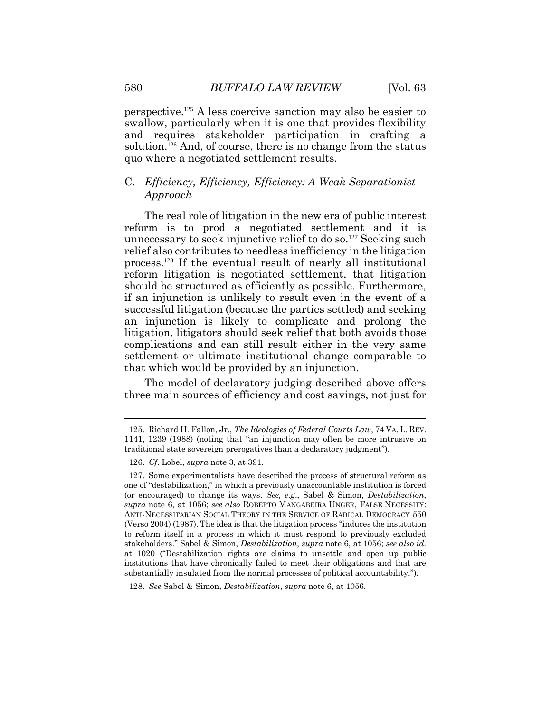perspective.125 A less coercive sanction may also be easier to swallow, particularly when it is one that provides flexibility and requires stakeholder participation in crafting a solution.<sup>126</sup> And, of course, there is no change from the status quo where a negotiated settlement results.

#### C. *Efficiency, Efficiency, Efficiency: A Weak Separationist Approach*

The real role of litigation in the new era of public interest reform is to prod a negotiated settlement and it is unnecessary to seek injunctive relief to do so.<sup>127</sup> Seeking such relief also contributes to needless inefficiency in the litigation process.128 If the eventual result of nearly all institutional reform litigation is negotiated settlement, that litigation should be structured as efficiently as possible. Furthermore, if an injunction is unlikely to result even in the event of a successful litigation (because the parties settled) and seeking an injunction is likely to complicate and prolong the litigation, litigators should seek relief that both avoids those complications and can still result either in the very same settlement or ultimate institutional change comparable to that which would be provided by an injunction.

The model of declaratory judging described above offers three main sources of efficiency and cost savings, not just for

<sup>125.</sup> Richard H. Fallon, Jr., *The Ideologies of Federal Courts Law*, 74 VA. L. REV. 1141, 1239 (1988) (noting that "an injunction may often be more intrusive on traditional state sovereign prerogatives than a declaratory judgment").

<sup>126.</sup> *Cf*. Lobel, *supra* note 3, at 391.

<sup>127.</sup> Some experimentalists have described the process of structural reform as one of "destabilization," in which a previously unaccountable institution is forced (or encouraged) to change its ways. *See, e.g*., Sabel & Simon, *Destabilization*, *supra* note [6,](#page-3-0) at 1056; *see also* ROBERTO MANGABEIRA UNGER, FALSE NECESSITY: ANTI-NECESSITARIAN SOCIAL THEORY IN THE SERVICE OF RADICAL DEMOCRACY 550 (Verso 2004) (1987). The idea is that the litigation process "induces the institution to reform itself in a process in which it must respond to previously excluded stakeholders." Sabel & Simon, *Destabilization*, *supra* note [6,](#page-3-0) at 1056; *see also id.*  at 1020 ("Destabilization rights are claims to unsettle and open up public institutions that have chronically failed to meet their obligations and that are substantially insulated from the normal processes of political accountability.").

<sup>128.</sup> *See* Sabel & Simon, *Destabilization*, *supra* note [6,](#page-3-0) at 1056.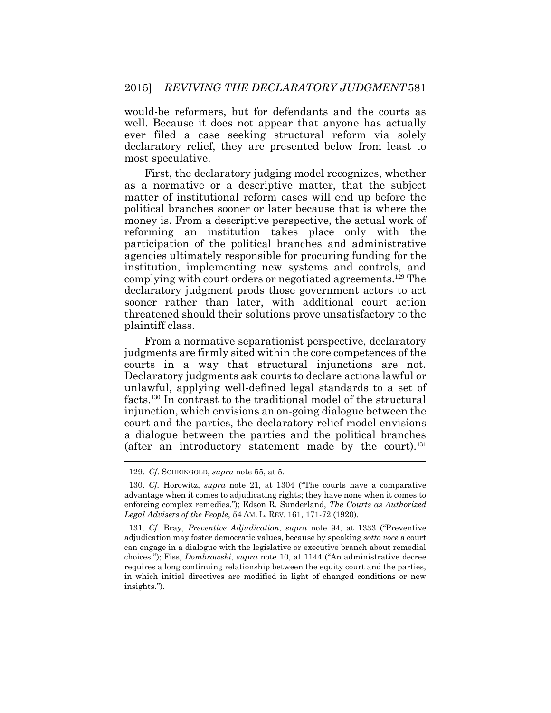would-be reformers, but for defendants and the courts as well. Because it does not appear that anyone has actually ever filed a case seeking structural reform via solely declaratory relief, they are presented below from least to most speculative.

First, the declaratory judging model recognizes, whether as a normative or a descriptive matter, that the subject matter of institutional reform cases will end up before the political branches sooner or later because that is where the money is. From a descriptive perspective, the actual work of reforming an institution takes place only with the participation of the political branches and administrative agencies ultimately responsible for procuring funding for the institution, implementing new systems and controls, and complying with court orders or negotiated agreements.<sup>129</sup> The declaratory judgment prods those government actors to act sooner rather than later, with additional court action threatened should their solutions prove unsatisfactory to the plaintiff class.

From a normative separationist perspective, declaratory judgments are firmly sited within the core competences of the courts in a way that structural injunctions are not. Declaratory judgments ask courts to declare actions lawful or unlawful, applying well-defined legal standards to a set of facts.<sup>130</sup> In contrast to the traditional model of the structural injunction, which envisions an on-going dialogue between the court and the parties, the declaratory relief model envisions a dialogue between the parties and the political branches (after an introductory statement made by the court).<sup>131</sup>

<sup>129.</sup> *Cf*. SCHEINGOLD, *supra* note 55, at 5.

<sup>130.</sup> *Cf.* Horowitz, *supra* note 21, at 1304 ("The courts have a comparative advantage when it comes to adjudicating rights; they have none when it comes to enforcing complex remedies."); Edson R. Sunderland, *The Courts as Authorized Legal Advisers of the People*, 54 AM. L. REV. 161, 171-72 (1920).

<sup>131.</sup> *Cf.* Bray, *Preventive Adjudication*, *supra* note 94, at 1333 ("Preventive adjudication may foster democratic values, because by speaking *sotto voce* a court can engage in a dialogue with the legislative or executive branch about remedial choices."); Fiss, *Dombrowski*, *supra* note 10, at 1144 ("An administrative decree requires a long continuing relationship between the equity court and the parties, in which initial directives are modified in light of changed conditions or new insights.").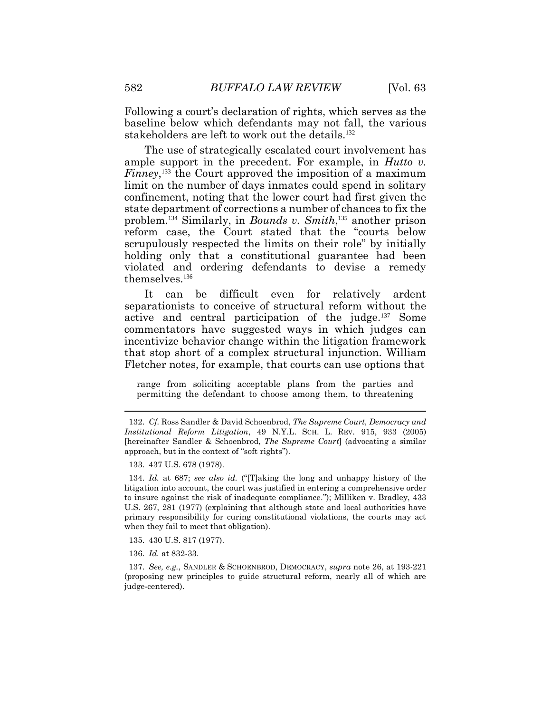Following a court's declaration of rights, which serves as the baseline below which defendants may not fall, the various stakeholders are left to work out the details.<sup>132</sup>

The use of strategically escalated court involvement has ample support in the precedent. For example, in *Hutto v. Finney*<sup>133</sup> the Court approved the imposition of a maximum limit on the number of days inmates could spend in solitary confinement, noting that the lower court had first given the state department of corrections a number of chances to fix the problem.<sup>134</sup> Similarly, in *Bounds v. Smith*, <sup>135</sup> another prison reform case, the Court stated that the "courts below scrupulously respected the limits on their role" by initially holding only that a constitutional guarantee had been violated and ordering defendants to devise a remedy themselves.<sup>136</sup>

It can be difficult even for relatively ardent separationists to conceive of structural reform without the active and central participation of the judge.<sup>137</sup> Some commentators have suggested ways in which judges can incentivize behavior change within the litigation framework that stop short of a complex structural injunction. William Fletcher notes, for example, that courts can use options that

range from soliciting acceptable plans from the parties and permitting the defendant to choose among them, to threatening

<sup>132.</sup> *Cf.* Ross Sandler & David Schoenbrod, *The Supreme Court, Democracy and Institutional Reform Litigation*, 49 N.Y.L. SCH. L. REV. 915, 933 (2005) [hereinafter Sandler & Schoenbrod, *The Supreme Court*] (advocating a similar approach, but in the context of "soft rights").

<sup>133.</sup> 437 U.S. 678 (1978).

<sup>134.</sup> *Id.* at 687; *see also id.* ("[T]aking the long and unhappy history of the litigation into account, the court was justified in entering a comprehensive order to insure against the risk of inadequate compliance."); Milliken v. Bradley, 433 U.S. 267, 281 (1977) (explaining that although state and local authorities have primary responsibility for curing constitutional violations, the courts may act when they fail to meet that obligation).

<sup>135.</sup> 430 U.S. 817 (1977).

<sup>136.</sup> *Id.* at 832-33.

<sup>137.</sup> *See, e.g.*, SANDLER & SCHOENBROD, DEMOCRACY, *supra* note 26, at 193-221 (proposing new principles to guide structural reform, nearly all of which are judge-centered).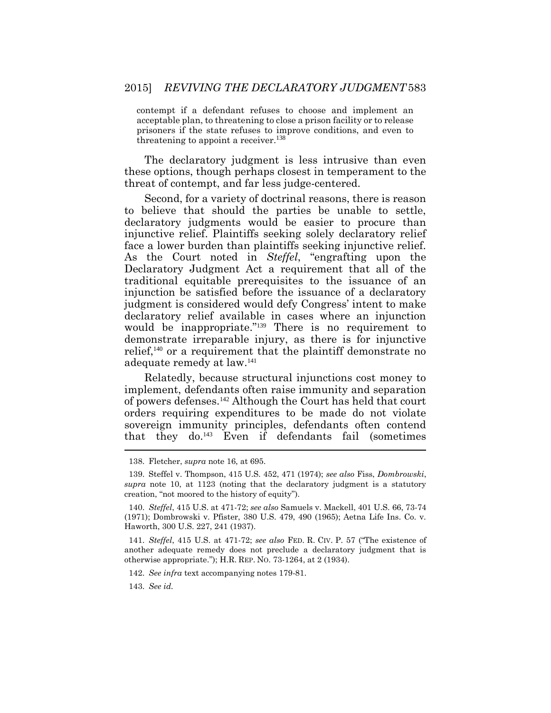contempt if a defendant refuses to choose and implement an acceptable plan, to threatening to close a prison facility or to release prisoners if the state refuses to improve conditions, and even to threatening to appoint a receiver.<sup>138</sup>

The declaratory judgment is less intrusive than even these options, though perhaps closest in temperament to the threat of contempt, and far less judge-centered.

Second, for a variety of doctrinal reasons, there is reason to believe that should the parties be unable to settle, declaratory judgments would be easier to procure than injunctive relief. Plaintiffs seeking solely declaratory relief face a lower burden than plaintiffs seeking injunctive relief. As the Court noted in *Steffel*, "engrafting upon the Declaratory Judgment Act a requirement that all of the traditional equitable prerequisites to the issuance of an injunction be satisfied before the issuance of a declaratory judgment is considered would defy Congress' intent to make declaratory relief available in cases where an injunction would be inappropriate."<sup>139</sup> There is no requirement to demonstrate irreparable injury, as there is for injunctive relief,<sup>140</sup> or a requirement that the plaintiff demonstrate no adequate remedy at law.<sup>141</sup>

Relatedly, because structural injunctions cost money to implement, defendants often raise immunity and separation of powers defenses.<sup>142</sup> Although the Court has held that court orders requiring expenditures to be made do not violate sovereign immunity principles, defendants often contend that they do.<sup>143</sup> Even if defendants fail (sometimes

141. *Steffel*, 415 U.S. at 471-72; *see also* FED. R. CIV. P. 57 ("The existence of another adequate remedy does not preclude a declaratory judgment that is otherwise appropriate."); H.R. REP. NO. 73-1264, at 2 (1934).

142. *See infra* text accompanying notes 179-81.

143. *See id.* 

<sup>138.</sup> Fletcher, *supra* note 16, at 695.

<sup>139.</sup> Steffel v. Thompson, 415 U.S. 452, 471 (1974); *see also* Fiss, *Dombrowski*, *supra* note 10, at 1123 (noting that the declaratory judgment is a statutory creation, "not moored to the history of equity").

<sup>140.</sup> *Steffel*, 415 U.S. at 471-72; *see also* Samuels v. Mackell, 401 U.S. 66, 73-74 (1971); Dombrowski v. Pfister, 380 U.S. 479, 490 (1965); Aetna Life Ins. Co. v. Haworth, 300 U.S. 227, 241 (1937).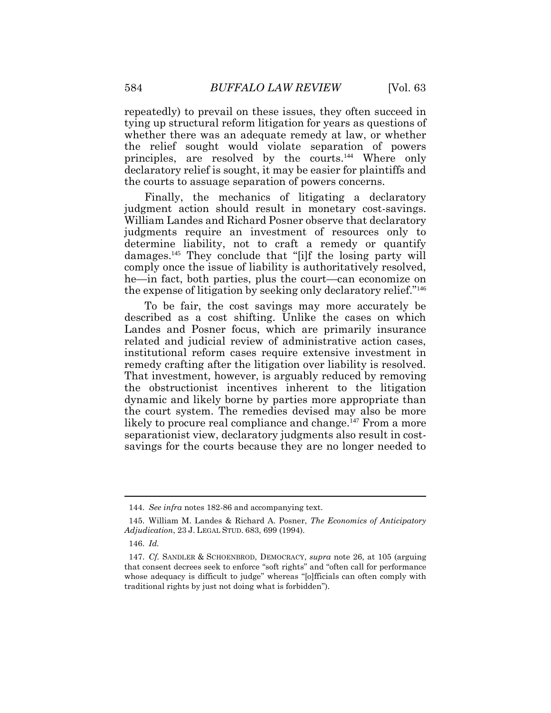repeatedly) to prevail on these issues, they often succeed in tying up structural reform litigation for years as questions of whether there was an adequate remedy at law, or whether the relief sought would violate separation of powers principles, are resolved by the courts. <sup>144</sup> Where only declaratory relief is sought, it may be easier for plaintiffs and the courts to assuage separation of powers concerns.

Finally, the mechanics of litigating a declaratory judgment action should result in monetary cost-savings. William Landes and Richard Posner observe that declaratory judgments require an investment of resources only to determine liability, not to craft a remedy or quantify damages.<sup>145</sup> They conclude that "[i]f the losing party will comply once the issue of liability is authoritatively resolved, he—in fact, both parties, plus the court—can economize on the expense of litigation by seeking only declaratory relief."<sup>146</sup>

To be fair, the cost savings may more accurately be described as a cost shifting. Unlike the cases on which Landes and Posner focus, which are primarily insurance related and judicial review of administrative action cases, institutional reform cases require extensive investment in remedy crafting after the litigation over liability is resolved. That investment, however, is arguably reduced by removing the obstructionist incentives inherent to the litigation dynamic and likely borne by parties more appropriate than the court system. The remedies devised may also be more likely to procure real compliance and change.<sup>147</sup> From a more separationist view, declaratory judgments also result in costsavings for the courts because they are no longer needed to

<sup>144.</sup> *See infra* notes 182-86 and accompanying text.

<sup>145.</sup> William M. Landes & Richard A. Posner, *The Economics of Anticipatory Adjudication*, 23 J. LEGAL STUD. 683, 699 (1994).

<sup>146.</sup> *Id.*

<sup>147.</sup> *Cf.* SANDLER & SCHOENBROD, DEMOCRACY, *supra* note 26, at 105 (arguing that consent decrees seek to enforce "soft rights" and "often call for performance whose adequacy is difficult to judge" whereas "[o]fficials can often comply with traditional rights by just not doing what is forbidden").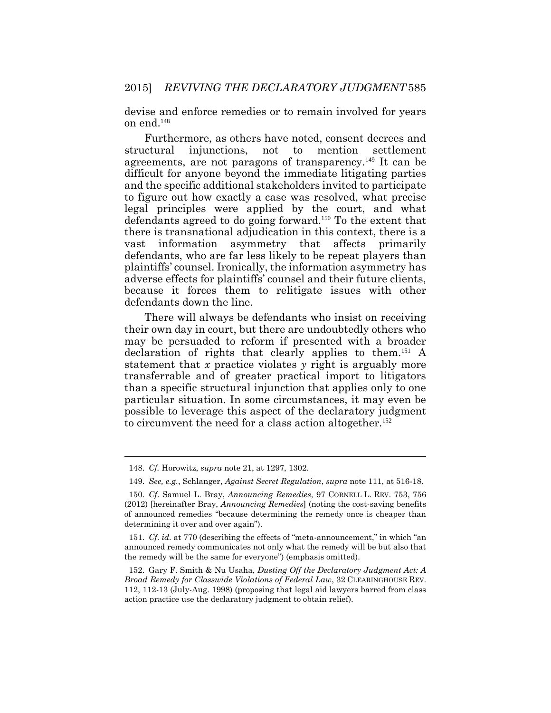devise and enforce remedies or to remain involved for years on end.<sup>148</sup>

Furthermore, as others have noted, consent decrees and structural injunctions, not to mention settlement agreements, are not paragons of transparency.<sup>149</sup> It can be difficult for anyone beyond the immediate litigating parties and the specific additional stakeholders invited to participate to figure out how exactly a case was resolved, what precise legal principles were applied by the court, and what defendants agreed to do going forward.<sup>150</sup> To the extent that there is transnational adjudication in this context, there is a vast information asymmetry that affects primarily defendants, who are far less likely to be repeat players than plaintiffs' counsel. Ironically, the information asymmetry has adverse effects for plaintiffs' counsel and their future clients, because it forces them to relitigate issues with other defendants down the line.

There will always be defendants who insist on receiving their own day in court, but there are undoubtedly others who may be persuaded to reform if presented with a broader declaration of rights that clearly applies to them.<sup>151</sup> A statement that *x* practice violates *y* right is arguably more transferrable and of greater practical import to litigators than a specific structural injunction that applies only to one particular situation. In some circumstances, it may even be possible to leverage this aspect of the declaratory judgment to circumvent the need for a class action altogether.<sup>152</sup>

<sup>148.</sup> *Cf.* Horowitz, *supra* note 21, at 1297, 1302.

<sup>149.</sup> *See, e.g.*, Schlanger, *Against Secret Regulation*, *supra* note 111, at 516-18.

<sup>150.</sup> *Cf*. Samuel L. Bray, *Announcing Remedies*, 97 CORNELL L. REV. 753, 756 (2012) [hereinafter Bray, *Announcing Remedies*] (noting the cost-saving benefits of announced remedies "because determining the remedy once is cheaper than determining it over and over again").

<sup>151.</sup> *Cf*. *id.* at 770 (describing the effects of "meta-announcement," in which "an announced remedy communicates not only what the remedy will be but also that the remedy will be the same for everyone") (emphasis omitted).

<sup>152.</sup> Gary F. Smith & Nu Usaha, *Dusting Off the Declaratory Judgment Act: A Broad Remedy for Classwide Violations of Federal Law*, 32 CLEARINGHOUSE REV. 112, 112-13 (July-Aug. 1998) (proposing that legal aid lawyers barred from class action practice use the declaratory judgment to obtain relief).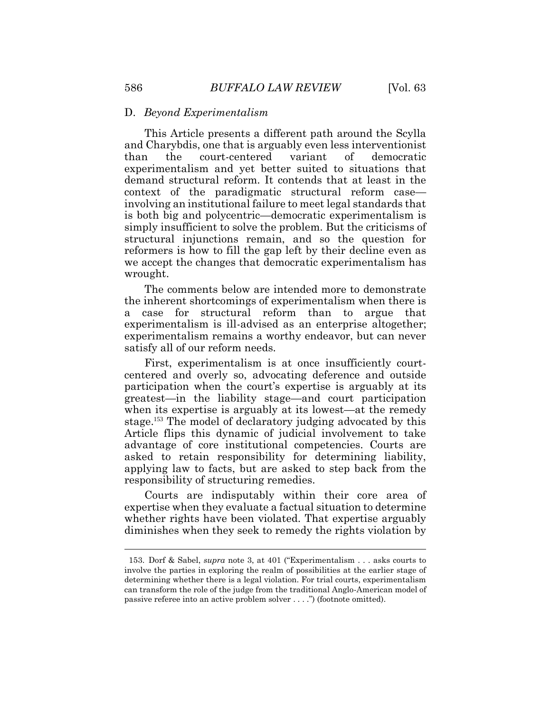#### D. *Beyond Experimentalism*

This Article presents a different path around the Scylla and Charybdis, one that is arguably even less interventionist than the court-centered variant of democratic experimentalism and yet better suited to situations that demand structural reform. It contends that at least in the context of the paradigmatic structural reform case involving an institutional failure to meet legal standards that is both big and polycentric—democratic experimentalism is simply insufficient to solve the problem. But the criticisms of structural injunctions remain, and so the question for reformers is how to fill the gap left by their decline even as we accept the changes that democratic experimentalism has wrought.

The comments below are intended more to demonstrate the inherent shortcomings of experimentalism when there is a case for structural reform than to argue that experimentalism is ill-advised as an enterprise altogether; experimentalism remains a worthy endeavor, but can never satisfy all of our reform needs.

First, experimentalism is at once insufficiently courtcentered and overly so, advocating deference and outside participation when the court's expertise is arguably at its greatest—in the liability stage—and court participation when its expertise is arguably at its lowest—at the remedy stage.153 The model of declaratory judging advocated by this Article flips this dynamic of judicial involvement to take advantage of core institutional competencies. Courts are asked to retain responsibility for determining liability, applying law to facts, but are asked to step back from the responsibility of structuring remedies.

Courts are indisputably within their core area of expertise when they evaluate a factual situation to determine whether rights have been violated. That expertise arguably diminishes when they seek to remedy the rights violation by

<sup>153.</sup> Dorf & Sabel, *supra* note [3,](#page-2-0) at 401 ("Experimentalism . . . asks courts to involve the parties in exploring the realm of possibilities at the earlier stage of determining whether there is a legal violation. For trial courts, experimentalism can transform the role of the judge from the traditional Anglo-American model of passive referee into an active problem solver . . . .") (footnote omitted).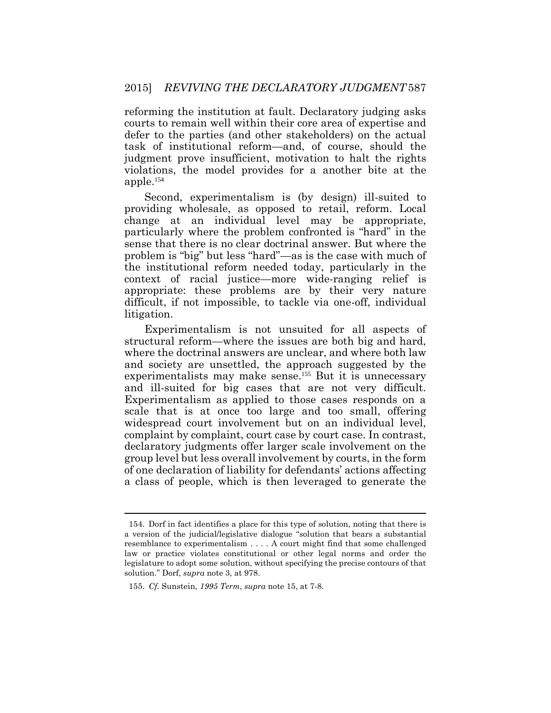reforming the institution at fault. Declaratory judging asks courts to remain well within their core area of expertise and defer to the parties (and other stakeholders) on the actual task of institutional reform—and, of course, should the judgment prove insufficient, motivation to halt the rights violations, the model provides for a another bite at the apple.<sup>154</sup>

Second, experimentalism is (by design) ill-suited to providing wholesale, as opposed to retail, reform. Local change at an individual level may be appropriate, particularly where the problem confronted is "hard" in the sense that there is no clear doctrinal answer. But where the problem is "big" but less "hard"—as is the case with much of the institutional reform needed today, particularly in the context of racial justice—more wide-ranging relief is appropriate: these problems are by their very nature difficult, if not impossible, to tackle via one-off, individual litigation.

Experimentalism is not unsuited for all aspects of structural reform—where the issues are both big and hard, where the doctrinal answers are unclear, and where both law and society are unsettled, the approach suggested by the experimentalists may make sense.<sup>155</sup> But it is unnecessary and ill-suited for big cases that are not very difficult. Experimentalism as applied to those cases responds on a scale that is at once too large and too small, offering widespread court involvement but on an individual level, complaint by complaint, court case by court case. In contrast, declaratory judgments offer larger scale involvement on the group level but less overall involvement by courts, in the form of one declaration of liability for defendants' actions affecting a class of people, which is then leveraged to generate the

<sup>154.</sup> Dorf in fact identifies a place for this type of solution, noting that there is a version of the judicial/legislative dialogue "solution that bears a substantial resemblance to experimentalism . . . . A court might find that some challenged law or practice violates constitutional or other legal norms and order the legislature to adopt some solution, without specifying the precise contours of that solution." Dorf, *supra* not[e 3,](#page-2-0) at 978.

<sup>155.</sup> *Cf.* Sunstein, *1995 Term*, *supra* note 15, at 7-8.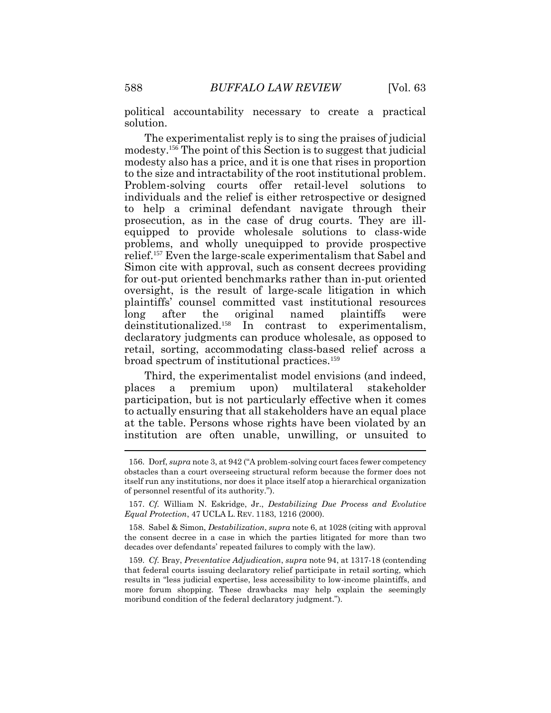political accountability necessary to create a practical solution.

The experimentalist reply is to sing the praises of judicial modesty.<sup>156</sup> The point of this Section is to suggest that judicial modesty also has a price, and it is one that rises in proportion to the size and intractability of the root institutional problem. Problem-solving courts offer retail-level solutions to individuals and the relief is either retrospective or designed to help a criminal defendant navigate through their prosecution, as in the case of drug courts. They are illequipped to provide wholesale solutions to class-wide problems, and wholly unequipped to provide prospective relief.<sup>157</sup> Even the large-scale experimentalism that Sabel and Simon cite with approval, such as consent decrees providing for out-put oriented benchmarks rather than in-put oriented oversight, is the result of large-scale litigation in which plaintiffs' counsel committed vast institutional resources long after the original named plaintiffs were deinstitutionalized.<sup>158</sup> In contrast to experimentalism, declaratory judgments can produce wholesale, as opposed to retail, sorting, accommodating class-based relief across a broad spectrum of institutional practices.<sup>159</sup>

Third, the experimentalist model envisions (and indeed, places a premium upon) multilateral stakeholder participation, but is not particularly effective when it comes to actually ensuring that all stakeholders have an equal place at the table. Persons whose rights have been violated by an institution are often unable, unwilling, or unsuited to

<sup>156.</sup> Dorf, *supra* note [3,](#page-2-0) at 942 ("A problem-solving court faces fewer competency obstacles than a court overseeing structural reform because the former does not itself run any institutions, nor does it place itself atop a hierarchical organization of personnel resentful of its authority.").

<sup>157.</sup> *Cf.* William N. Eskridge, Jr., *Destabilizing Due Process and Evolutive Equal Protection*, 47 UCLA L. REV. 1183, 1216 (2000).

<sup>158.</sup> Sabel & Simon, *Destabilization*, *supra* note [6,](#page-3-0) at 1028 (citing with approval the consent decree in a case in which the parties litigated for more than two decades over defendants' repeated failures to comply with the law).

<sup>159.</sup> *Cf.* Bray, *Preventative Adjudication*, *supra* note 94, at 1317-18 (contending that federal courts issuing declaratory relief participate in retail sorting, which results in "less judicial expertise, less accessibility to low-income plaintiffs, and more forum shopping. These drawbacks may help explain the seemingly moribund condition of the federal declaratory judgment.").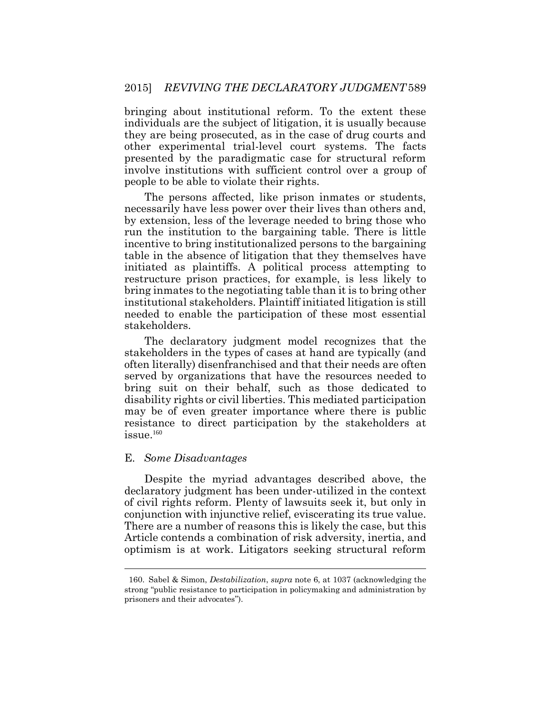bringing about institutional reform. To the extent these individuals are the subject of litigation, it is usually because they are being prosecuted, as in the case of drug courts and other experimental trial-level court systems. The facts presented by the paradigmatic case for structural reform involve institutions with sufficient control over a group of people to be able to violate their rights.

The persons affected, like prison inmates or students, necessarily have less power over their lives than others and, by extension, less of the leverage needed to bring those who run the institution to the bargaining table. There is little incentive to bring institutionalized persons to the bargaining table in the absence of litigation that they themselves have initiated as plaintiffs. A political process attempting to restructure prison practices, for example, is less likely to bring inmates to the negotiating table than it is to bring other institutional stakeholders. Plaintiff initiated litigation is still needed to enable the participation of these most essential stakeholders.

The declaratory judgment model recognizes that the stakeholders in the types of cases at hand are typically (and often literally) disenfranchised and that their needs are often served by organizations that have the resources needed to bring suit on their behalf, such as those dedicated to disability rights or civil liberties. This mediated participation may be of even greater importance where there is public resistance to direct participation by the stakeholders at  $i$ ssue. $160$ 

#### E. *Some Disadvantages*

 $\overline{a}$ 

Despite the myriad advantages described above, the declaratory judgment has been under-utilized in the context of civil rights reform. Plenty of lawsuits seek it, but only in conjunction with injunctive relief, eviscerating its true value. There are a number of reasons this is likely the case, but this Article contends a combination of risk adversity, inertia, and optimism is at work. Litigators seeking structural reform

<sup>160.</sup> Sabel & Simon, *Destabilization*, *supra* note [6,](#page-3-0) at 1037 (acknowledging the strong "public resistance to participation in policymaking and administration by prisoners and their advocates").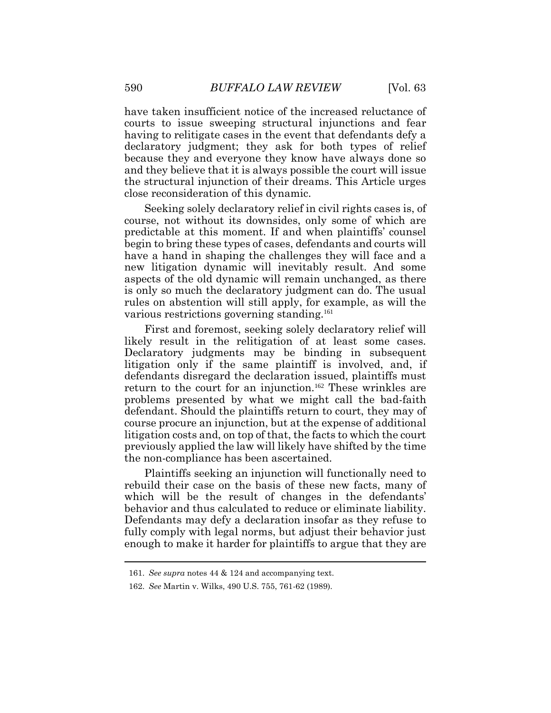have taken insufficient notice of the increased reluctance of courts to issue sweeping structural injunctions and fear having to relitigate cases in the event that defendants defy a declaratory judgment; they ask for both types of relief because they and everyone they know have always done so and they believe that it is always possible the court will issue the structural injunction of their dreams. This Article urges close reconsideration of this dynamic.

Seeking solely declaratory relief in civil rights cases is, of course, not without its downsides, only some of which are predictable at this moment. If and when plaintiffs' counsel begin to bring these types of cases, defendants and courts will have a hand in shaping the challenges they will face and a new litigation dynamic will inevitably result. And some aspects of the old dynamic will remain unchanged, as there is only so much the declaratory judgment can do. The usual rules on abstention will still apply, for example, as will the various restrictions governing standing.<sup>161</sup>

First and foremost, seeking solely declaratory relief will likely result in the relitigation of at least some cases. Declaratory judgments may be binding in subsequent litigation only if the same plaintiff is involved, and, if defendants disregard the declaration issued, plaintiffs must return to the court for an injunction.<sup>162</sup> These wrinkles are problems presented by what we might call the bad-faith defendant. Should the plaintiffs return to court, they may of course procure an injunction, but at the expense of additional litigation costs and, on top of that, the facts to which the court previously applied the law will likely have shifted by the time the non-compliance has been ascertained.

Plaintiffs seeking an injunction will functionally need to rebuild their case on the basis of these new facts, many of which will be the result of changes in the defendants' behavior and thus calculated to reduce or eliminate liability. Defendants may defy a declaration insofar as they refuse to fully comply with legal norms, but adjust their behavior just enough to make it harder for plaintiffs to argue that they are

<sup>161.</sup> *See supra* notes 44 & 124 and accompanying text.

<sup>162.</sup> *See* Martin v. Wilks, 490 U.S. 755, 761-62 (1989).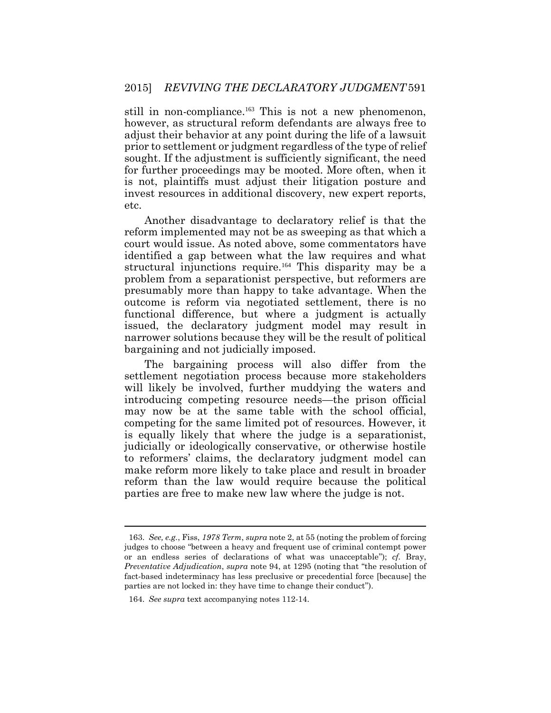still in non-compliance.<sup>163</sup> This is not a new phenomenon, however, as structural reform defendants are always free to adjust their behavior at any point during the life of a lawsuit prior to settlement or judgment regardless of the type of relief sought. If the adjustment is sufficiently significant, the need for further proceedings may be mooted. More often, when it is not, plaintiffs must adjust their litigation posture and invest resources in additional discovery, new expert reports, etc.

Another disadvantage to declaratory relief is that the reform implemented may not be as sweeping as that which a court would issue. As noted above, some commentators have identified a gap between what the law requires and what structural injunctions require.<sup>164</sup> This disparity may be a problem from a separationist perspective, but reformers are presumably more than happy to take advantage. When the outcome is reform via negotiated settlement, there is no functional difference, but where a judgment is actually issued, the declaratory judgment model may result in narrower solutions because they will be the result of political bargaining and not judicially imposed.

The bargaining process will also differ from the settlement negotiation process because more stakeholders will likely be involved, further muddying the waters and introducing competing resource needs—the prison official may now be at the same table with the school official, competing for the same limited pot of resources. However, it is equally likely that where the judge is a separationist, judicially or ideologically conservative, or otherwise hostile to reformers' claims, the declaratory judgment model can make reform more likely to take place and result in broader reform than the law would require because the political parties are free to make new law where the judge is not.

<sup>163.</sup> *See, e.g.*, Fiss, *1978 Term*, *supra* not[e 2,](#page-1-0) at 55 (noting the problem of forcing judges to choose "between a heavy and frequent use of criminal contempt power or an endless series of declarations of what was unacceptable"); *cf.* Bray, *Preventative Adjudication*, *supra* note 94, at 1295 (noting that "the resolution of fact-based indeterminacy has less preclusive or precedential force [because] the parties are not locked in: they have time to change their conduct").

<sup>164.</sup> *See supra* text accompanying notes 112-14.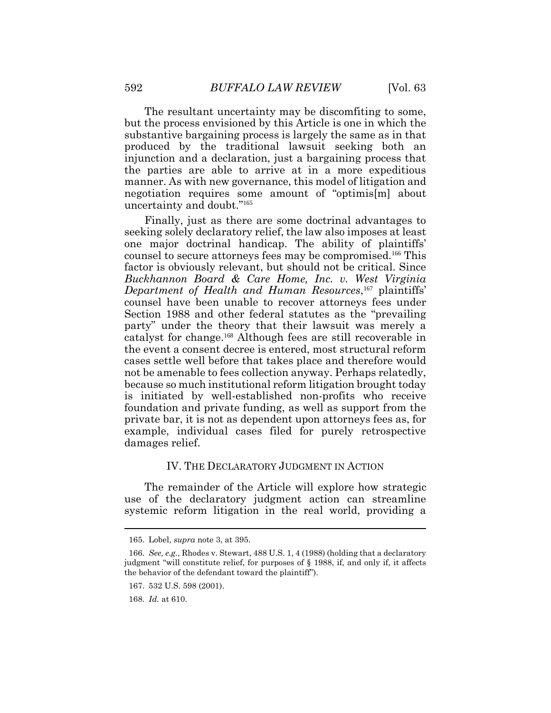The resultant uncertainty may be discomfiting to some, but the process envisioned by this Article is one in which the substantive bargaining process is largely the same as in that produced by the traditional lawsuit seeking both an injunction and a declaration, just a bargaining process that the parties are able to arrive at in a more expeditious manner. As with new governance, this model of litigation and negotiation requires some amount of "optimis[m] about uncertainty and doubt."<sup>165</sup>

Finally, just as there are some doctrinal advantages to seeking solely declaratory relief, the law also imposes at least one major doctrinal handicap. The ability of plaintiffs' counsel to secure attorneys fees may be compromised.166 This factor is obviously relevant, but should not be critical. Since *Buckhannon Board & Care Home, Inc. v. West Virginia Department of Health and Human Resources*, <sup>167</sup> plaintiffs' counsel have been unable to recover attorneys fees under Section 1988 and other federal statutes as the "prevailing party" under the theory that their lawsuit was merely a catalyst for change.168 Although fees are still recoverable in the event a consent decree is entered, most structural reform cases settle well before that takes place and therefore would not be amenable to fees collection anyway. Perhaps relatedly, because so much institutional reform litigation brought today is initiated by well-established non-profits who receive foundation and private funding, as well as support from the private bar, it is not as dependent upon attorneys fees as, for example, individual cases filed for purely retrospective damages relief.

#### IV. THE DECLARATORY JUDGMENT IN ACTION

The remainder of the Article will explore how strategic use of the declaratory judgment action can streamline systemic reform litigation in the real world, providing a

<sup>165.</sup> Lobel, *supra* note 3, at 395.

<sup>166.</sup> *See, e.g.*, Rhodes v. Stewart, 488 U.S. 1, 4 (1988) (holding that a declaratory judgment "will constitute relief, for purposes of § 1988, if, and only if, it affects the behavior of the defendant toward the plaintiff").

<sup>167. 532</sup> U.S. 598 (2001).

<sup>168.</sup> *Id.* at 610.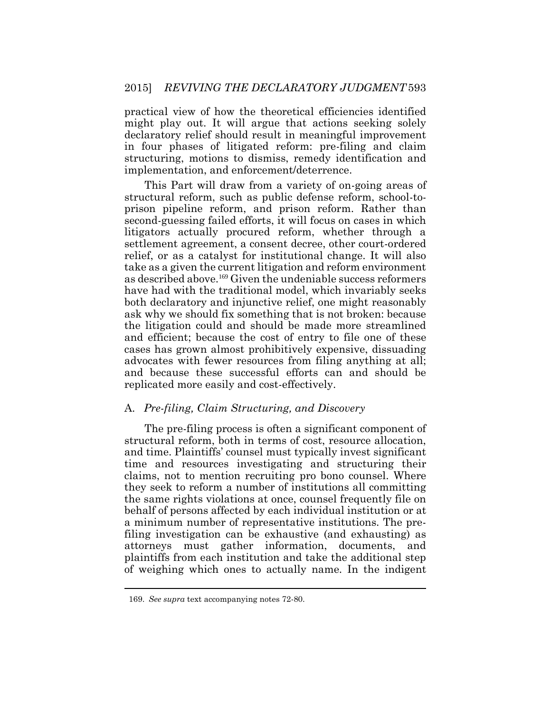practical view of how the theoretical efficiencies identified might play out. It will argue that actions seeking solely declaratory relief should result in meaningful improvement in four phases of litigated reform: pre-filing and claim structuring, motions to dismiss, remedy identification and implementation, and enforcement/deterrence.

This Part will draw from a variety of on-going areas of structural reform, such as public defense reform, school-toprison pipeline reform, and prison reform. Rather than second-guessing failed efforts, it will focus on cases in which litigators actually procured reform, whether through a settlement agreement, a consent decree, other court-ordered relief, or as a catalyst for institutional change. It will also take as a given the current litigation and reform environment as described above.<sup>169</sup> Given the undeniable success reformers have had with the traditional model, which invariably seeks both declaratory and injunctive relief, one might reasonably ask why we should fix something that is not broken: because the litigation could and should be made more streamlined and efficient; because the cost of entry to file one of these cases has grown almost prohibitively expensive, dissuading advocates with fewer resources from filing anything at all; and because these successful efforts can and should be replicated more easily and cost-effectively.

#### A. *Pre-filing, Claim Structuring, and Discovery*

The pre-filing process is often a significant component of structural reform, both in terms of cost, resource allocation, and time. Plaintiffs' counsel must typically invest significant time and resources investigating and structuring their claims, not to mention recruiting pro bono counsel. Where they seek to reform a number of institutions all committing the same rights violations at once, counsel frequently file on behalf of persons affected by each individual institution or at a minimum number of representative institutions. The prefiling investigation can be exhaustive (and exhausting) as attorneys must gather information, documents, and plaintiffs from each institution and take the additional step of weighing which ones to actually name. In the indigent

 $\overline{a}$ 

<sup>169.</sup> *See supra* text accompanying notes 72-80.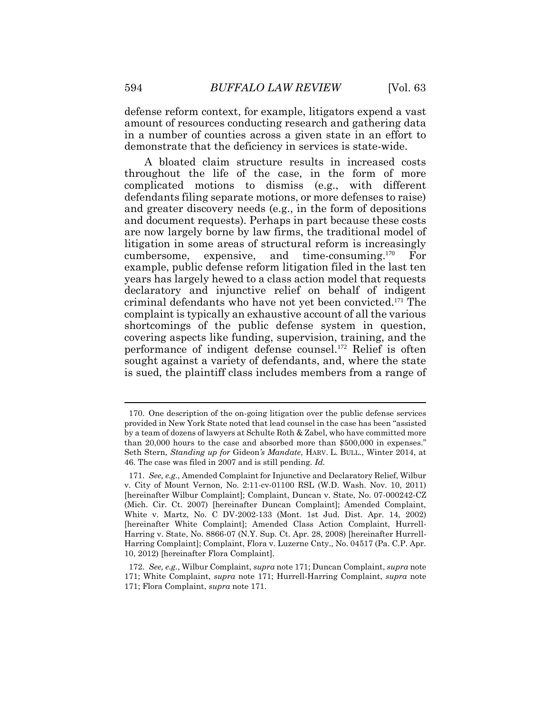defense reform context, for example, litigators expend a vast amount of resources conducting research and gathering data in a number of counties across a given state in an effort to demonstrate that the deficiency in services is state-wide.

A bloated claim structure results in increased costs throughout the life of the case, in the form of more complicated motions to dismiss (e.g., with different defendants filing separate motions, or more defenses to raise) and greater discovery needs (e.g., in the form of depositions and document requests). Perhaps in part because these costs are now largely borne by law firms, the traditional model of litigation in some areas of structural reform is increasingly cumbersome, expensive, and time-consuming.<sup>170</sup> For example, public defense reform litigation filed in the last ten years has largely hewed to a class action model that requests declaratory and injunctive relief on behalf of indigent criminal defendants who have not yet been convicted.<sup>171</sup> The complaint is typically an exhaustive account of all the various shortcomings of the public defense system in question, covering aspects like funding, supervision, training, and the performance of indigent defense counsel.<sup>172</sup> Relief is often sought against a variety of defendants, and, where the state is sued, the plaintiff class includes members from a range of

<sup>170.</sup> One description of the on-going litigation over the public defense services provided in New York State noted that lead counsel in the case has been "assisted by a team of dozens of lawyers at Schulte Roth & Zabel, who have committed more than 20,000 hours to the case and absorbed more than \$500,000 in expenses." Seth Stern, *Standing up for* Gideon*'s Mandate*, HARV. L. BULL., Winter 2014, at 46. The case was filed in 2007 and is still pending. *Id.*

<sup>171.</sup> *See, e.g.*, Amended Complaint for Injunctive and Declaratory Relief, Wilbur v. City of Mount Vernon, No. 2:11-cv-01100 RSL (W.D. Wash. Nov. 10, 2011) [hereinafter Wilbur Complaint]; Complaint, Duncan v. State, No. 07-000242-CZ (Mich. Cir. Ct. 2007) [hereinafter Duncan Complaint]; Amended Complaint, White v. Martz, No. C DV-2002-133 (Mont. 1st Jud. Dist. Apr. 14, 2002) [hereinafter White Complaint]; Amended Class Action Complaint, Hurrell-Harring v. State, No. 8866-07 (N.Y. Sup. Ct. Apr. 28, 2008) [hereinafter Hurrell-Harring Complaint]; Complaint, Flora v. Luzerne Cnty., No. 04517 (Pa. C.P. Apr. 10, 2012) [hereinafter Flora Complaint].

<sup>172.</sup> *See, e.g.*, Wilbur Complaint, *supra* note 171; Duncan Complaint, *supra* note 171; White Complaint, *supra* note 171; Hurrell-Harring Complaint, *supra* note 171; Flora Complaint, *supra* note 171.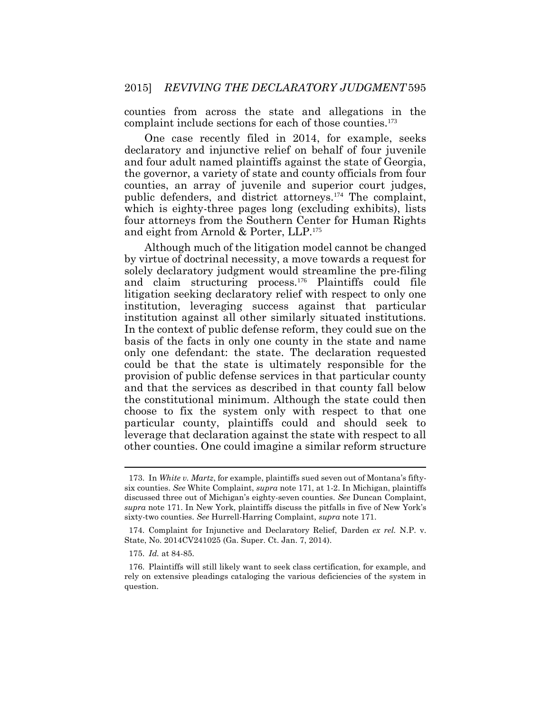counties from across the state and allegations in the complaint include sections for each of those counties.<sup>173</sup>

One case recently filed in 2014, for example, seeks declaratory and injunctive relief on behalf of four juvenile and four adult named plaintiffs against the state of Georgia, the governor, a variety of state and county officials from four counties, an array of juvenile and superior court judges, public defenders, and district attorneys.<sup>174</sup> The complaint, which is eighty-three pages long (excluding exhibits), lists four attorneys from the Southern Center for Human Rights and eight from Arnold & Porter, LLP.<sup>175</sup>

Although much of the litigation model cannot be changed by virtue of doctrinal necessity, a move towards a request for solely declaratory judgment would streamline the pre-filing and claim structuring process.<sup>176</sup> Plaintiffs could file litigation seeking declaratory relief with respect to only one institution, leveraging success against that particular institution against all other similarly situated institutions. In the context of public defense reform, they could sue on the basis of the facts in only one county in the state and name only one defendant: the state. The declaration requested could be that the state is ultimately responsible for the provision of public defense services in that particular county and that the services as described in that county fall below the constitutional minimum. Although the state could then choose to fix the system only with respect to that one particular county, plaintiffs could and should seek to leverage that declaration against the state with respect to all other counties. One could imagine a similar reform structure

<sup>173.</sup> In *White v. Martz*, for example, plaintiffs sued seven out of Montana's fiftysix counties. *See* White Complaint, *supra* note 171, at 1-2. In Michigan, plaintiffs discussed three out of Michigan's eighty-seven counties. *See* Duncan Complaint, *supra* note 171. In New York, plaintiffs discuss the pitfalls in five of New York's sixty-two counties. *See* Hurrell-Harring Complaint, *supra* note 171.

<sup>174.</sup> Complaint for Injunctive and Declaratory Relief, Darden *ex rel.* N.P. v. State, No. 2014CV241025 (Ga. Super. Ct. Jan. 7, 2014).

<sup>175.</sup> *Id.* at 84-85.

<sup>176.</sup> Plaintiffs will still likely want to seek class certification, for example, and rely on extensive pleadings cataloging the various deficiencies of the system in question.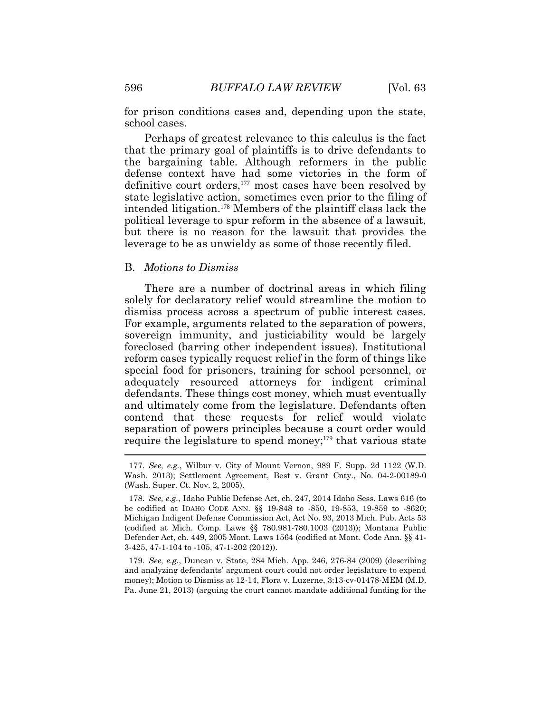for prison conditions cases and, depending upon the state, school cases.

Perhaps of greatest relevance to this calculus is the fact that the primary goal of plaintiffs is to drive defendants to the bargaining table. Although reformers in the public defense context have had some victories in the form of definitive court orders,<sup>177</sup> most cases have been resolved by state legislative action, sometimes even prior to the filing of intended litigation.178 Members of the plaintiff class lack the political leverage to spur reform in the absence of a lawsuit, but there is no reason for the lawsuit that provides the leverage to be as unwieldy as some of those recently filed.

#### B. *Motions to Dismiss*

There are a number of doctrinal areas in which filing solely for declaratory relief would streamline the motion to dismiss process across a spectrum of public interest cases. For example, arguments related to the separation of powers, sovereign immunity, and justiciability would be largely foreclosed (barring other independent issues). Institutional reform cases typically request relief in the form of things like special food for prisoners, training for school personnel, or adequately resourced attorneys for indigent criminal defendants. These things cost money, which must eventually and ultimately come from the legislature. Defendants often contend that these requests for relief would violate separation of powers principles because a court order would require the legislature to spend money;<sup>179</sup> that various state 

179. *See, e.g.*, Duncan v. State, 284 Mich. App. 246, 276-84 (2009) (describing and analyzing defendants' argument court could not order legislature to expend money); Motion to Dismiss at 12-14, Flora v. Luzerne, 3:13-cv-01478-MEM (M.D. Pa. June 21, 2013) (arguing the court cannot mandate additional funding for the

<sup>177.</sup> *See, e.g.*, Wilbur v. City of Mount Vernon, 989 F. Supp. 2d 1122 (W.D. Wash. 2013); Settlement Agreement, Best v. Grant Cnty., No. 04-2-00189-0 (Wash. Super. Ct. Nov. 2, 2005).

<sup>178.</sup> *See, e.g.*, Idaho Public Defense Act, ch. 247, 2014 Idaho Sess. Laws 616 (to be codified at IDAHO CODE ANN. §§ 19-848 to -850, 19-853, 19-859 to -8620; Michigan Indigent Defense Commission Act, Act No. 93, 2013 Mich. Pub. Acts 53 (codified at Mich. Comp. Laws §§ 780.981-780.1003 (2013)); Montana Public Defender Act, ch. 449, 2005 Mont. Laws 1564 (codified at Mont. Code Ann. §§ 41- 3-425, 47-1-104 to -105, 47-1-202 (2012)).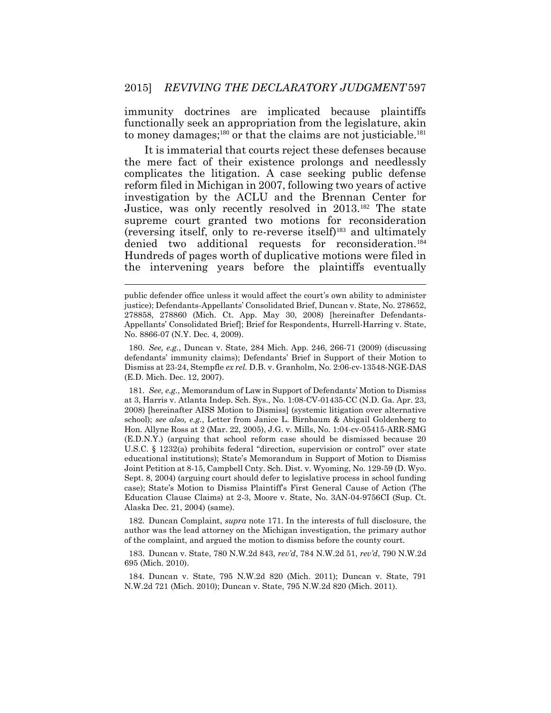immunity doctrines are implicated because plaintiffs functionally seek an appropriation from the legislature, akin to money damages;<sup>180</sup> or that the claims are not justiciable.<sup>181</sup>

It is immaterial that courts reject these defenses because the mere fact of their existence prolongs and needlessly complicates the litigation. A case seeking public defense reform filed in Michigan in 2007, following two years of active investigation by the ACLU and the Brennan Center for Justice, was only recently resolved in 2013.<sup>182</sup> The state supreme court granted two motions for reconsideration (reversing itself, only to re-reverse itself)<sup>183</sup> and ultimately denied two additional requests for reconsideration.<sup>184</sup> Hundreds of pages worth of duplicative motions were filed in the intervening years before the plaintiffs eventually

180. *See, e.g.*, Duncan v. State, 284 Mich. App. 246, 266-71 (2009) (discussing defendants' immunity claims); Defendants' Brief in Support of their Motion to Dismiss at 23-24, Stempfle *ex rel.* D.B. v. Granholm, No. 2:06-cv-13548-NGE-DAS (E.D. Mich. Dec. 12, 2007).

181. *See, e.g.*, Memorandum of Law in Support of Defendants' Motion to Dismiss at 3, Harris v. Atlanta Indep. Sch. Sys., No. 1:08-CV-01435-CC (N.D. Ga. Apr. 23, 2008) [hereinafter AISS Motion to Dismiss] (systemic litigation over alternative school); *see also, e.g.*, Letter from Janice L. Birnbaum & Abigail Goldenberg to Hon. Allyne Ross at 2 (Mar. 22, 2005), J.G. v. Mills, No. 1:04-cv-05415-ARR-SMG (E.D.N.Y.) (arguing that school reform case should be dismissed because 20 U.S.C. § 1232(a) prohibits federal "direction, supervision or control" over state educational institutions); State's Memorandum in Support of Motion to Dismiss Joint Petition at 8-15, Campbell Cnty. Sch. Dist. v. Wyoming, No. 129-59 (D. Wyo. Sept. 8, 2004) (arguing court should defer to legislative process in school funding case); State's Motion to Dismiss Plaintiff's First General Cause of Action (The Education Clause Claims) at 2-3, Moore v. State, No. 3AN-04-9756CI (Sup. Ct. Alaska Dec. 21, 2004) (same).

182. Duncan Complaint, *supra* note 171. In the interests of full disclosure, the author was the lead attorney on the Michigan investigation, the primary author of the complaint, and argued the motion to dismiss before the county court.

183. Duncan v. State, 780 N.W.2d 843, *rev'd*, 784 N.W.2d 51, *rev'd*, 790 N.W.2d 695 (Mich. 2010).

184. Duncan v. State, 795 N.W.2d 820 (Mich. 2011); Duncan v. State, 791 N.W.2d 721 (Mich. 2010); Duncan v. State, 795 N.W.2d 820 (Mich. 2011).

public defender office unless it would affect the court's own ability to administer justice); Defendants-Appellants' Consolidated Brief, Duncan v. State, No. 278652, 278858, 278860 (Mich. Ct. App. May 30, 2008) [hereinafter Defendants-Appellants' Consolidated Brief]; Brief for Respondents, Hurrell-Harring v. State, No. 8866-07 (N.Y. Dec. 4, 2009).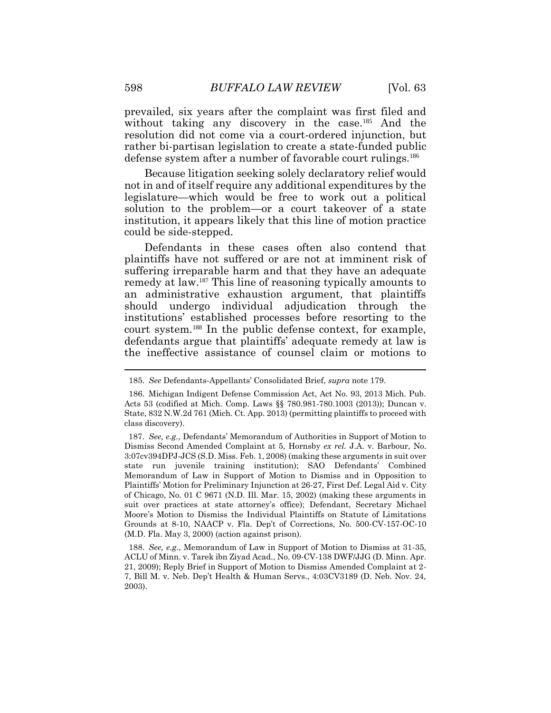prevailed, six years after the complaint was first filed and without taking any discovery in the case.<sup>185</sup> And the resolution did not come via a court-ordered injunction, but rather bi-partisan legislation to create a state-funded public defense system after a number of favorable court rulings.<sup>186</sup>

Because litigation seeking solely declaratory relief would not in and of itself require any additional expenditures by the legislature—which would be free to work out a political solution to the problem—or a court takeover of a state institution, it appears likely that this line of motion practice could be side-stepped.

Defendants in these cases often also contend that plaintiffs have not suffered or are not at imminent risk of suffering irreparable harm and that they have an adequate remedy at law.<sup>187</sup> This line of reasoning typically amounts to an administrative exhaustion argument, that plaintiffs should undergo individual adjudication through the institutions' established processes before resorting to the court system.<sup>188</sup> In the public defense context, for example, defendants argue that plaintiffs' adequate remedy at law is the ineffective assistance of counsel claim or motions to

<sup>185.</sup> *See* Defendants-Appellants' Consolidated Brief, *supra* note 179.

<sup>186.</sup> Michigan Indigent Defense Commission Act, Act No. 93, 2013 Mich. Pub. Acts 53 (codified at Mich. Comp. Laws §§ 780.981-780.1003 (2013)); Duncan v. State, 832 N.W.2d 761 (Mich. Ct. App. 2013) (permitting plaintiffs to proceed with class discovery).

<sup>187.</sup> *See, e.g.*, Defendants' Memorandum of Authorities in Support of Motion to Dismiss Second Amended Complaint at 5, Hornsby *ex rel.* J.A. v. Barbour, No. 3:07cv394DPJ-JCS (S.D. Miss. Feb. 1, 2008) (making these arguments in suit over state run juvenile training institution); SAO Defendants' Combined Memorandum of Law in Support of Motion to Dismiss and in Opposition to Plaintiffs' Motion for Preliminary Injunction at 26-27, First Def. Legal Aid v. City of Chicago, No. 01 C 9671 (N.D. Ill. Mar. 15, 2002) (making these arguments in suit over practices at state attorney's office); Defendant, Secretary Michael Moore's Motion to Dismiss the Individual Plaintiffs on Statute of Limitations Grounds at 8-10, NAACP v. Fla. Dep't of Corrections, No. 500-CV-157-OC-10 (M.D. Fla. May 3, 2000) (action against prison).

<sup>188.</sup> *See, e.g*., Memorandum of Law in Support of Motion to Dismiss at 31-35, ACLU of Minn. v. Tarek ibn Ziyad Acad., No. 09-CV-138 DWF/JJG (D. Minn. Apr. 21, 2009); Reply Brief in Support of Motion to Dismiss Amended Complaint at 2- 7, Bill M. v. Neb. Dep't Health & Human Servs., 4:03CV3189 (D. Neb. Nov. 24, 2003).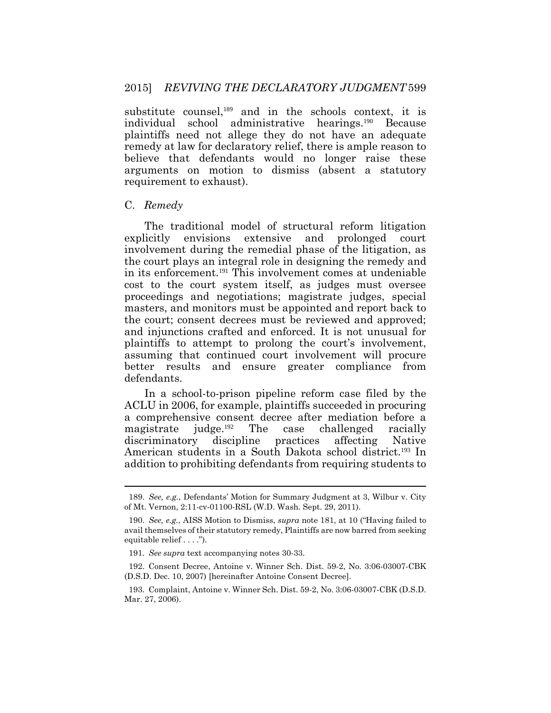substitute counsel,<sup>189</sup> and in the schools context, it is individual school administrative hearings.190 Because plaintiffs need not allege they do not have an adequate remedy at law for declaratory relief, there is ample reason to believe that defendants would no longer raise these arguments on motion to dismiss (absent a statutory requirement to exhaust).

#### C. *Remedy*

The traditional model of structural reform litigation explicitly envisions extensive and prolonged court involvement during the remedial phase of the litigation, as the court plays an integral role in designing the remedy and in its enforcement.191 This involvement comes at undeniable cost to the court system itself, as judges must oversee proceedings and negotiations; magistrate judges, special masters, and monitors must be appointed and report back to the court; consent decrees must be reviewed and approved; and injunctions crafted and enforced. It is not unusual for plaintiffs to attempt to prolong the court's involvement, assuming that continued court involvement will procure better results and ensure greater compliance from defendants.

In a school-to-prison pipeline reform case filed by the ACLU in 2006, for example, plaintiffs succeeded in procuring a comprehensive consent decree after mediation before a magistrate judge.192 The case challenged racially discriminatory discipline practices affecting Native American students in a South Dakota school district.<sup>193</sup> In addition to prohibiting defendants from requiring students to

<sup>189.</sup> *See, e.g.*, Defendants' Motion for Summary Judgment at 3, Wilbur v. City of Mt. Vernon, 2:11-cv-01100-RSL (W.D. Wash. Sept. 29, 2011).

<sup>190.</sup> *See, e.g.*, AISS Motion to Dismiss, *supra* note 181, at 10 ("Having failed to avail themselves of their statutory remedy, Plaintiffs are now barred from seeking equitable relief . . . .").

<sup>191.</sup> *See supra* text accompanying notes 30-33.

<sup>192.</sup> Consent Decree, Antoine v. Winner Sch. Dist. 59-2, No. 3:06-03007-CBK (D.S.D. Dec. 10, 2007) [hereinafter Antoine Consent Decree].

<sup>193.</sup> Complaint, Antoine v. Winner Sch. Dist. 59-2, No. 3:06-03007-CBK (D.S.D. Mar. 27, 2006).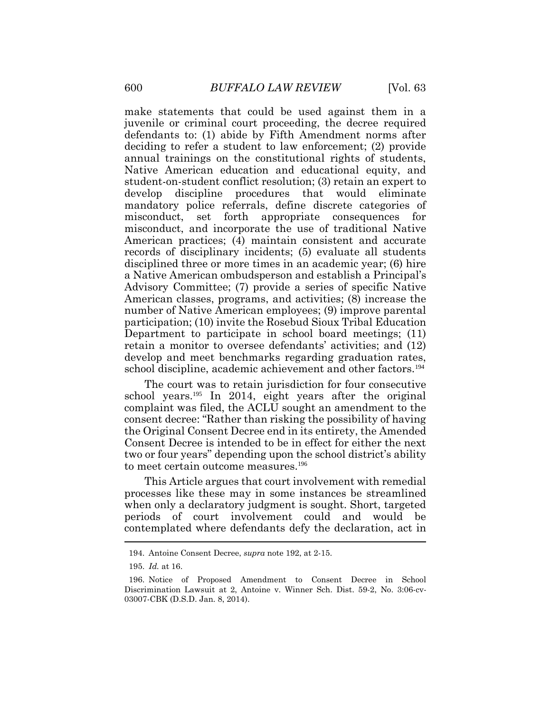make statements that could be used against them in a juvenile or criminal court proceeding, the decree required defendants to: (1) abide by Fifth Amendment norms after deciding to refer a student to law enforcement; (2) provide annual trainings on the constitutional rights of students, Native American education and educational equity, and student-on-student conflict resolution; (3) retain an expert to develop discipline procedures that would eliminate mandatory police referrals, define discrete categories of misconduct, set forth appropriate consequences for misconduct, and incorporate the use of traditional Native American practices; (4) maintain consistent and accurate records of disciplinary incidents; (5) evaluate all students disciplined three or more times in an academic year; (6) hire a Native American ombudsperson and establish a Principal's Advisory Committee; (7) provide a series of specific Native American classes, programs, and activities; (8) increase the number of Native American employees; (9) improve parental participation; (10) invite the Rosebud Sioux Tribal Education Department to participate in school board meetings; (11) retain a monitor to oversee defendants' activities; and (12) develop and meet benchmarks regarding graduation rates, school discipline, academic achievement and other factors.<sup>194</sup>

The court was to retain jurisdiction for four consecutive school years.<sup>195</sup> In 2014, eight years after the original complaint was filed, the ACLU sought an amendment to the consent decree: "Rather than risking the possibility of having the Original Consent Decree end in its entirety, the Amended Consent Decree is intended to be in effect for either the next two or four years" depending upon the school district's ability to meet certain outcome measures.<sup>196</sup>

This Article argues that court involvement with remedial processes like these may in some instances be streamlined when only a declaratory judgment is sought. Short, targeted periods of court involvement could and would be contemplated where defendants defy the declaration, act in

<sup>194.</sup> Antoine Consent Decree, *supra* note 192, at 2-15.

<sup>195.</sup> *Id.* at 16.

<sup>196.</sup> Notice of Proposed Amendment to Consent Decree in School Discrimination Lawsuit at 2, Antoine v. Winner Sch. Dist. 59-2, No. 3:06-cv-03007-CBK (D.S.D. Jan. 8, 2014).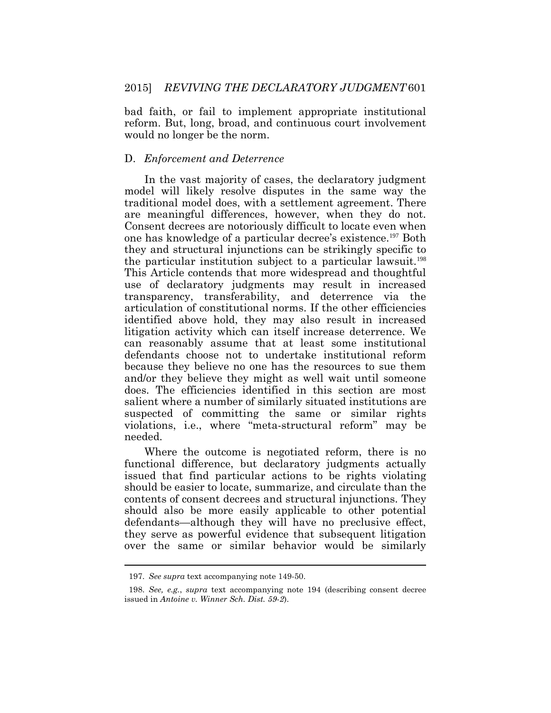bad faith, or fail to implement appropriate institutional reform. But, long, broad, and continuous court involvement would no longer be the norm.

#### D. *Enforcement and Deterrence*

In the vast majority of cases, the declaratory judgment model will likely resolve disputes in the same way the traditional model does, with a settlement agreement. There are meaningful differences, however, when they do not. Consent decrees are notoriously difficult to locate even when one has knowledge of a particular decree's existence.197 Both they and structural injunctions can be strikingly specific to the particular institution subject to a particular lawsuit.<sup>198</sup> This Article contends that more widespread and thoughtful use of declaratory judgments may result in increased transparency, transferability, and deterrence via the articulation of constitutional norms. If the other efficiencies identified above hold, they may also result in increased litigation activity which can itself increase deterrence. We can reasonably assume that at least some institutional defendants choose not to undertake institutional reform because they believe no one has the resources to sue them and/or they believe they might as well wait until someone does. The efficiencies identified in this section are most salient where a number of similarly situated institutions are suspected of committing the same or similar rights violations, i.e., where "meta-structural reform" may be needed.

Where the outcome is negotiated reform, there is no functional difference, but declaratory judgments actually issued that find particular actions to be rights violating should be easier to locate, summarize, and circulate than the contents of consent decrees and structural injunctions. They should also be more easily applicable to other potential defendants—although they will have no preclusive effect, they serve as powerful evidence that subsequent litigation over the same or similar behavior would be similarly

<sup>197.</sup> *See supra* text accompanying note 149-50.

<sup>198.</sup> *See, e.g.*, *supra* text accompanying note 194 (describing consent decree issued in *Antoine v. Winner Sch. Dist. 59-2*).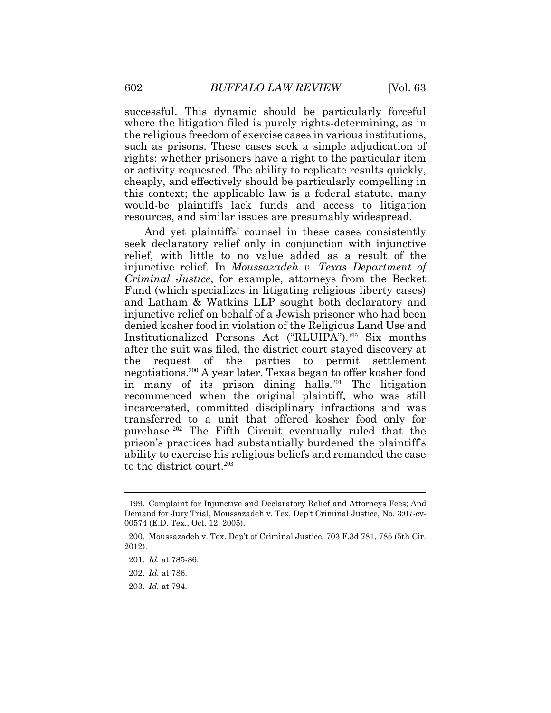successful. This dynamic should be particularly forceful where the litigation filed is purely rights-determining, as in the religious freedom of exercise cases in various institutions, such as prisons. These cases seek a simple adjudication of rights: whether prisoners have a right to the particular item or activity requested. The ability to replicate results quickly, cheaply, and effectively should be particularly compelling in this context; the applicable law is a federal statute, many would-be plaintiffs lack funds and access to litigation resources, and similar issues are presumably widespread.

And yet plaintiffs' counsel in these cases consistently seek declaratory relief only in conjunction with injunctive relief, with little to no value added as a result of the injunctive relief. In *Moussazadeh v. Texas Department of Criminal Justice*, for example, attorneys from the Becket Fund (which specializes in litigating religious liberty cases) and Latham & Watkins LLP sought both declaratory and injunctive relief on behalf of a Jewish prisoner who had been denied kosher food in violation of the Religious Land Use and Institutionalized Persons Act ("RLUIPA").<sup>199</sup> Six months after the suit was filed, the district court stayed discovery at the request of the parties to permit settlement negotiations.<sup>200</sup> A year later, Texas began to offer kosher food in many of its prison dining halls.<sup>201</sup> The litigation recommenced when the original plaintiff, who was still incarcerated, committed disciplinary infractions and was transferred to a unit that offered kosher food only for purchase.<sup>202</sup> The Fifth Circuit eventually ruled that the prison's practices had substantially burdened the plaintiff's ability to exercise his religious beliefs and remanded the case to the district court.<sup>203</sup>

<sup>199.</sup> Complaint for Injunctive and Declaratory Relief and Attorneys Fees; And Demand for Jury Trial, Moussazadeh v. Tex. Dep't Criminal Justice, No. 3:07-cv-00574 (E.D. Tex., Oct. 12, 2005).

<sup>200.</sup> Moussazadeh v. Tex. Dep't of Criminal Justice, 703 F.3d 781, 785 (5th Cir. 2012).

<sup>201.</sup> *Id.* at 785-86.

<sup>202.</sup> *Id.* at 786.

<sup>203.</sup> *Id.* at 794.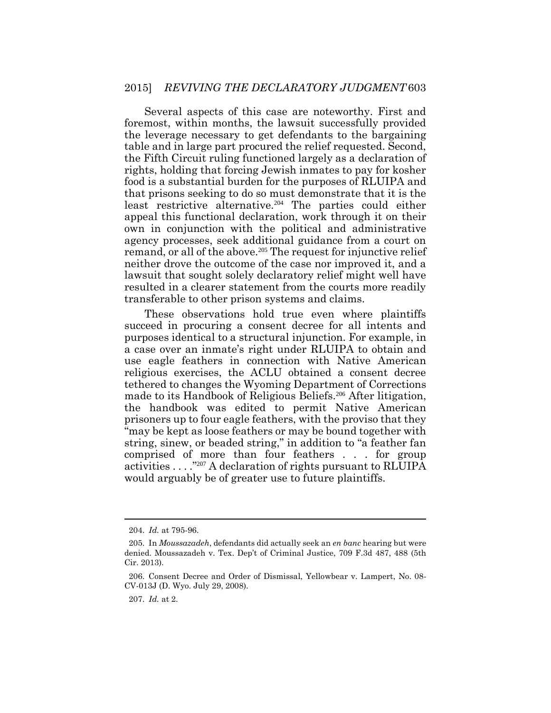Several aspects of this case are noteworthy. First and foremost, within months, the lawsuit successfully provided the leverage necessary to get defendants to the bargaining table and in large part procured the relief requested. Second, the Fifth Circuit ruling functioned largely as a declaration of rights, holding that forcing Jewish inmates to pay for kosher food is a substantial burden for the purposes of RLUIPA and that prisons seeking to do so must demonstrate that it is the least restrictive alternative.<sup>204</sup> The parties could either appeal this functional declaration, work through it on their own in conjunction with the political and administrative agency processes, seek additional guidance from a court on remand, or all of the above.<sup>205</sup> The request for injunctive relief neither drove the outcome of the case nor improved it, and a lawsuit that sought solely declaratory relief might well have resulted in a clearer statement from the courts more readily transferable to other prison systems and claims.

These observations hold true even where plaintiffs succeed in procuring a consent decree for all intents and purposes identical to a structural injunction. For example, in a case over an inmate's right under RLUIPA to obtain and use eagle feathers in connection with Native American religious exercises, the ACLU obtained a consent decree tethered to changes the Wyoming Department of Corrections made to its Handbook of Religious Beliefs.<sup>206</sup> After litigation, the handbook was edited to permit Native American prisoners up to four eagle feathers, with the proviso that they "may be kept as loose feathers or may be bound together with string, sinew, or beaded string," in addition to "a feather fan comprised of more than four feathers . . . for group activities  $\ldots$ ."<sup>207</sup> A declaration of rights pursuant to RLUIPA would arguably be of greater use to future plaintiffs.

<sup>204.</sup> *Id.* at 795-96.

<sup>205.</sup> In *Moussazadeh*, defendants did actually seek an *en banc* hearing but were denied. Moussazadeh v. Tex. Dep't of Criminal Justice, 709 F.3d 487, 488 (5th Cir. 2013).

<sup>206.</sup> Consent Decree and Order of Dismissal, Yellowbear v. Lampert, No. 08- CV-013J (D. Wyo. July 29, 2008).

<sup>207.</sup> *Id.* at 2.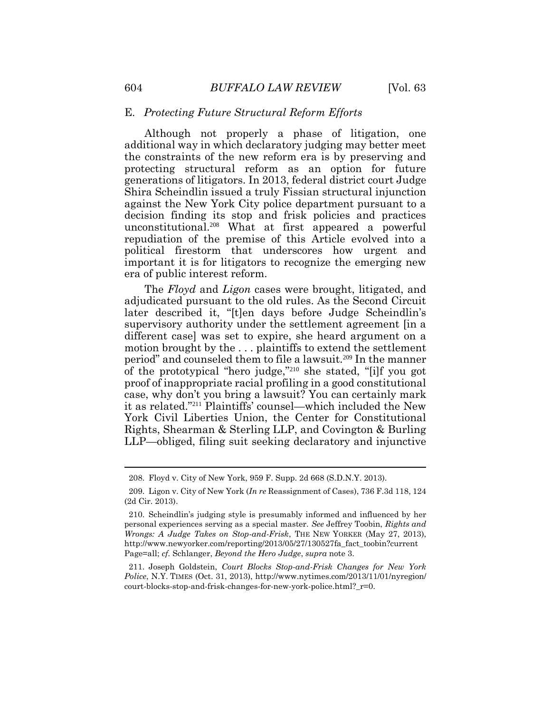#### E. *Protecting Future Structural Reform Efforts*

Although not properly a phase of litigation, one additional way in which declaratory judging may better meet the constraints of the new reform era is by preserving and protecting structural reform as an option for future generations of litigators. In 2013, federal district court Judge Shira Scheindlin issued a truly Fissian structural injunction against the New York City police department pursuant to a decision finding its stop and frisk policies and practices unconstitutional.208 What at first appeared a powerful repudiation of the premise of this Article evolved into a political firestorm that underscores how urgent and important it is for litigators to recognize the emerging new era of public interest reform.

The *Floyd* and *Ligon* cases were brought, litigated, and adjudicated pursuant to the old rules. As the Second Circuit later described it, "[t]en days before Judge Scheindlin's supervisory authority under the settlement agreement [in a different case] was set to expire, she heard argument on a motion brought by the . . . plaintiffs to extend the settlement period" and counseled them to file a lawsuit.209 In the manner of the prototypical "hero judge,"<sup>210</sup> she stated, "[i]f you got proof of inappropriate racial profiling in a good constitutional case, why don't you bring a lawsuit? You can certainly mark it as related."<sup>211</sup> Plaintiffs' counsel—which included the New York Civil Liberties Union, the Center for Constitutional Rights, Shearman & Sterling LLP, and Covington & Burling LLP—obliged, filing suit seeking declaratory and injunctive

 $\overline{a}$ 

<sup>208.</sup> Floyd v. City of New York, 959 F. Supp. 2d 668 (S.D.N.Y. 2013).

<sup>209.</sup> Ligon v. City of New York (*In re* [Reassignment of Cases\), 736 F.3d 118, 124](http://web2.westlaw.com/find/default.wl?mt=LawSchoolPractitioner&db=506&rs=WLW14.01&tc=-1&rp=%2ffind%2fdefault.wl&findtype=Y&ordoc=2032766260&serialnum=2031943073&vr=2.0&fn=_top&sv=Split&tf=-1&pbc=353A05E1&utid=1)  [\(2d Cir. 2013\).](http://web2.westlaw.com/find/default.wl?mt=LawSchoolPractitioner&db=506&rs=WLW14.01&tc=-1&rp=%2ffind%2fdefault.wl&findtype=Y&ordoc=2032766260&serialnum=2031943073&vr=2.0&fn=_top&sv=Split&tf=-1&pbc=353A05E1&utid=1) 

<sup>210.</sup> Scheindlin's judging style is presumably informed and influenced by her personal experiences serving as a special master. *See* Jeffrey Toobin, *Rights and Wrongs: A Judge Takes on Stop-and-Frisk*, THE NEW YORKER (May 27, 2013), http://www.newyorker.com/reporting/2013/05/27/130527fa\_fact\_toobin?current Page=all; *cf.* Schlanger, *Beyond the Hero Judge*, *supra* note [3.](#page-2-0) 

<sup>211.</sup> Joseph Goldstein, *Court Blocks Stop-and-Frisk Changes for New York Police*, N.Y. TIMES (Oct. 31, 2013), http://www.nytimes.com/2013/11/01/nyregion/ court-blocks-stop-and-frisk-changes-for-new-york-police.html? r=0.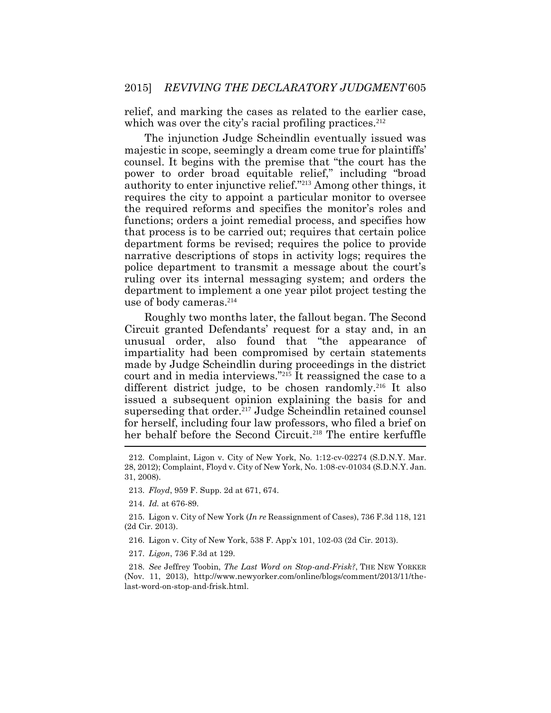relief, and marking the cases as related to the earlier case, which was over the city's racial profiling practices.<sup>212</sup>

The injunction Judge Scheindlin eventually issued was majestic in scope, seemingly a dream come true for plaintiffs' counsel. It begins with the premise that "the court has the power to order broad equitable relief," including "broad authority to enter injunctive relief."<sup>213</sup> Among other things, it requires the city to appoint a particular monitor to oversee the required reforms and specifies the monitor's roles and functions; orders a joint remedial process, and specifies how that process is to be carried out; requires that certain police department forms be revised; requires the police to provide narrative descriptions of stops in activity logs; requires the police department to transmit a message about the court's ruling over its internal messaging system; and orders the department to implement a one year pilot project testing the use of body cameras.<sup>214</sup>

Roughly two months later, the fallout began. The Second Circuit granted Defendants' request for a stay and, in an unusual order, also found that "the appearance of impartiality had been compromised by certain statements made by Judge Scheindlin during proceedings in the district court and in media interviews."<sup>215</sup> It reassigned the case to a different district judge, to be chosen randomly.<sup>216</sup> It also issued a subsequent opinion explaining the basis for and superseding that order.<sup>217</sup> Judge Scheindlin retained counsel for herself, including four law professors, who filed a brief on her behalf before the Second Circuit.<sup>218</sup> The entire kerfuffle

- 216. [Ligon v. City of New York,](http://web2.westlaw.com/find/default.wl?mt=LawSchoolPractitioner&db=BC-COMPANYSRBD&rs=WLW14.01&docname=CIK(LE10428483)&rp=%2ffind%2fdefault.wl&findtype=l&lvbp=T&vr=2.0&fn=_top&sv=Split&returnto=BusinessNameReturnTo&pbc=BC6E23F9&utid=1) 538 F. App'x 101, 102-03 (2d Cir. 2013).
- 217. *Ligon*, 736 F.3d at 129.

218. *See* Jeffrey Toobin, *The Last Word on Stop-and-Frisk?*, THE NEW YORKER (Nov. 11, 2013), http://www.newyorker.com/online/blogs/comment/2013/11/thelast-word-on-stop-and-frisk.html.

<sup>212.</sup> Complaint, Ligon v. City of New York, No. 1:12-cv-02274 (S.D.N.Y. Mar. 28, 2012); Complaint, Floyd v. City of New York, No. 1:08-cv-01034 (S.D.N.Y. Jan. 31, 2008).

<sup>213.</sup> *Floyd*, 959 F. Supp. 2d at 671, 674.

<sup>214.</sup> *Id.* at 676-89.

<sup>215.</sup> Ligon v. City of New York (*In re* [Reassignment of Cases\), 736 F.3d 118, 121](http://web2.westlaw.com/find/default.wl?mt=LawSchoolPractitioner&db=506&rs=WLW14.01&tc=-1&rp=%2ffind%2fdefault.wl&findtype=Y&ordoc=2032766260&serialnum=2031943073&vr=2.0&fn=_top&sv=Split&tf=-1&pbc=353A05E1&utid=1)  [\(2d Cir. 2013\).](http://web2.westlaw.com/find/default.wl?mt=LawSchoolPractitioner&db=506&rs=WLW14.01&tc=-1&rp=%2ffind%2fdefault.wl&findtype=Y&ordoc=2032766260&serialnum=2031943073&vr=2.0&fn=_top&sv=Split&tf=-1&pbc=353A05E1&utid=1)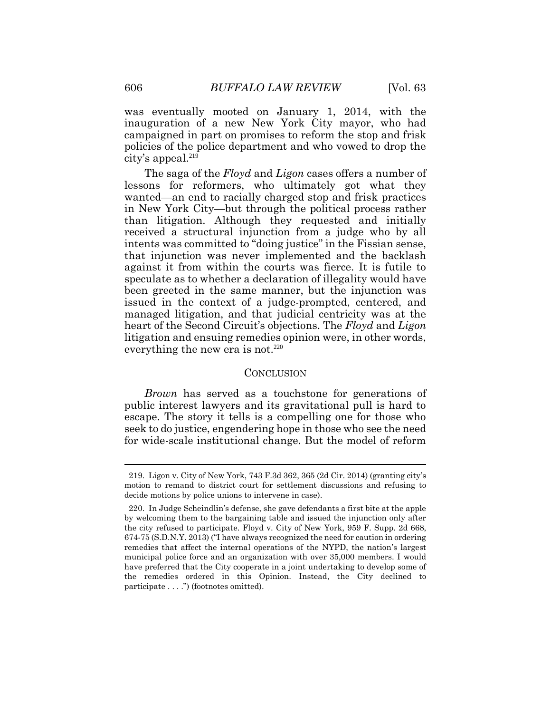was eventually mooted on January 1, 2014, with the inauguration of a new New York City mayor, who had campaigned in part on promises to reform the stop and frisk policies of the police department and who vowed to drop the city's appeal.<sup>219</sup>

The saga of the *Floyd* and *Ligon* cases offers a number of lessons for reformers, who ultimately got what they wanted—an end to racially charged stop and frisk practices in New York City—but through the political process rather than litigation. Although they requested and initially received a structural injunction from a judge who by all intents was committed to "doing justice" in the Fissian sense, that injunction was never implemented and the backlash against it from within the courts was fierce. It is futile to speculate as to whether a declaration of illegality would have been greeted in the same manner, but the injunction was issued in the context of a judge-prompted, centered, and managed litigation, and that judicial centricity was at the heart of the Second Circuit's objections. The *Floyd* and *Ligon* litigation and ensuing remedies opinion were, in other words, everything the new era is not.<sup>220</sup>

#### CONCLUSION

*Brown* has served as a touchstone for generations of public interest lawyers and its gravitational pull is hard to escape. The story it tells is a compelling one for those who seek to do justice, engendering hope in those who see the need for wide-scale institutional change. But the model of reform

 $\overline{a}$ 

<sup>219.</sup> Ligon v. City of New York, 743 F.3d 362, 365 (2d Cir. 2014) (granting city's motion to remand to district court for settlement discussions and refusing to decide motions by police unions to intervene in case).

<sup>220.</sup> In Judge Scheindlin's defense, she gave defendants a first bite at the apple by welcoming them to the bargaining table and issued the injunction only after the city refused to participate. Floyd v. City of New York, 959 F. Supp. 2d 668, 674-75 (S.D.N.Y. 2013) ("I have always recognized the need for caution in ordering remedies that affect the internal operations of the NYPD, the nation's largest municipal police force and an organization with over 35,000 members. I would have preferred that the City cooperate in a joint undertaking to develop some of the remedies ordered in this Opinion. Instead, the City declined to participate . . . .") (footnotes omitted).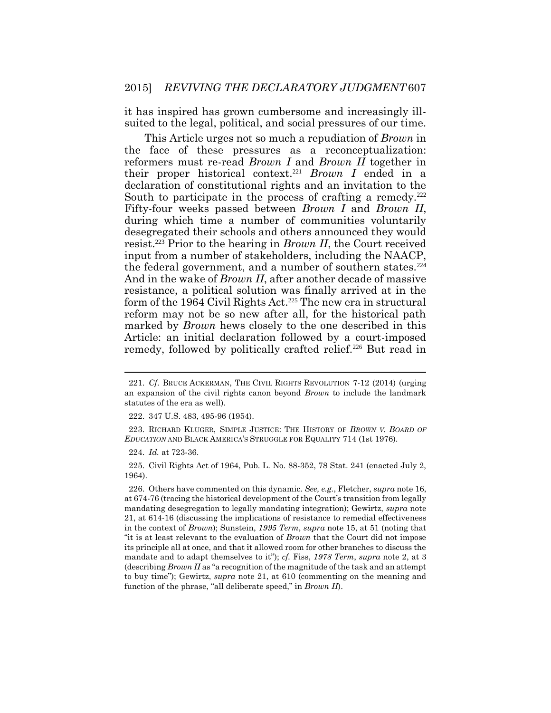it has inspired has grown cumbersome and increasingly illsuited to the legal, political, and social pressures of our time.

This Article urges not so much a repudiation of *Brown* in the face of these pressures as a reconceptualization: reformers must re-read *Brown I* and *Brown II* together in their proper historical context.<sup>221</sup> *Brown I* ended in a declaration of constitutional rights and an invitation to the South to participate in the process of crafting a remedy.<sup>222</sup> Fifty-four weeks passed between *Brown I* and *Brown II*, during which time a number of communities voluntarily desegregated their schools and others announced they would resist.<sup>223</sup> Prior to the hearing in *Brown II*, the Court received input from a number of stakeholders, including the NAACP, the federal government, and a number of southern states.<sup>224</sup> And in the wake of *Brown II*, after another decade of massive resistance, a political solution was finally arrived at in the form of the 1964 Civil Rights Act.<sup>225</sup> The new era in structural reform may not be so new after all, for the historical path marked by *Brown* hews closely to the one described in this Article: an initial declaration followed by a court-imposed remedy, followed by politically crafted relief.<sup>226</sup> But read in

225. Civil Rights Act of 1964, Pub. L. No. 88-352, 78 Stat. 241 (enacted July 2, 1964).

<sup>221.</sup> *Cf*. BRUCE ACKERMAN, THE CIVIL RIGHTS REVOLUTION 7-12 (2014) (urging an expansion of the civil rights canon beyond *Brown* to include the landmark statutes of the era as well).

<sup>222.</sup> 347 U.S. 483, 495-96 (1954).

<sup>223.</sup> RICHARD KLUGER, SIMPLE JUSTICE: THE HISTORY OF *BROWN V. BOARD OF EDUCATION* AND BLACK AMERICA'S STRUGGLE FOR EQUALITY 714 (1st 1976).

<sup>224.</sup> *Id.* at 723-36.

<sup>226.</sup> Others have commented on this dynamic. *See, e.g.*, Fletcher, *supra* note 16, at 674-76 (tracing the historical development of the Court's transition from legally mandating desegregation to legally mandating integration); Gewirtz, *supra* note 21, at 614-16 (discussing the implications of resistance to remedial effectiveness in the context of *Brown*); Sunstein, *1995 Term*, *supra* note 15, at 51 (noting that "it is at least relevant to the evaluation of *Brown* that the Court did not impose its principle all at once, and that it allowed room for other branches to discuss the mandate and to adapt themselves to it"); *cf.* Fiss, *1978 Term*, *supra* note [2,](#page-1-0) at 3 (describing *Brown II* as "a recognition of the magnitude of the task and an attempt to buy time"); Gewirtz, *supra* note 21, at 610 (commenting on the meaning and function of the phrase, "all deliberate speed," in *Brown II*).